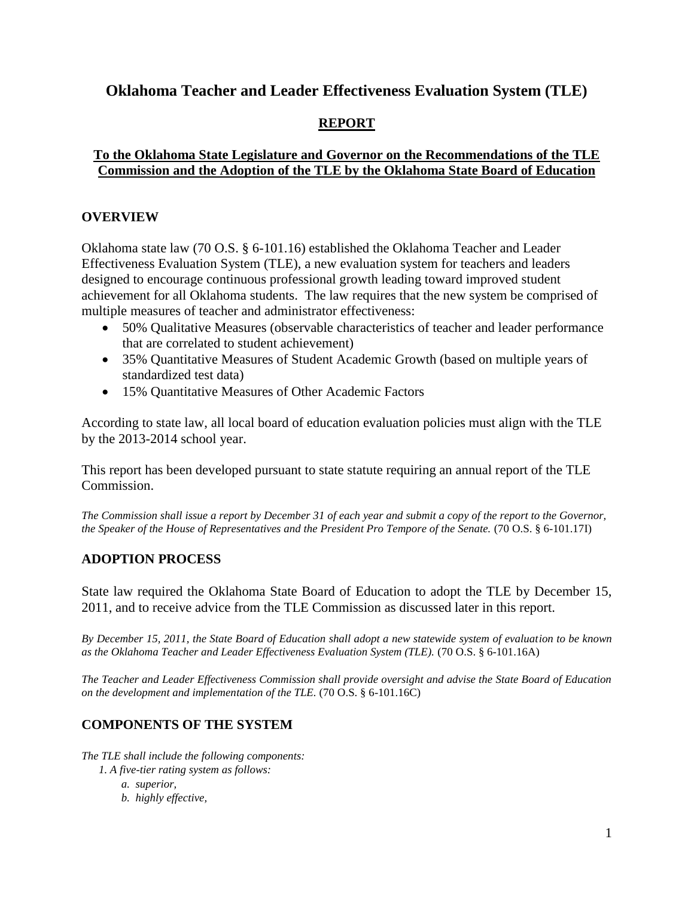### **Oklahoma Teacher and Leader Effectiveness Evaluation System (TLE)**

### **REPORT**

### **To the Oklahoma State Legislature and Governor on the Recommendations of the TLE Commission and the Adoption of the TLE by the Oklahoma State Board of Education**

#### **OVERVIEW**

Oklahoma state law (70 O.S. § 6-101.16) established the Oklahoma Teacher and Leader Effectiveness Evaluation System (TLE), a new evaluation system for teachers and leaders designed to encourage continuous professional growth leading toward improved student achievement for all Oklahoma students. The law requires that the new system be comprised of multiple measures of teacher and administrator effectiveness:

- 50% Qualitative Measures (observable characteristics of teacher and leader performance that are correlated to student achievement)
- 35% Quantitative Measures of Student Academic Growth (based on multiple years of standardized test data)
- 15% Quantitative Measures of Other Academic Factors

According to state law, all local board of education evaluation policies must align with the TLE by the 2013-2014 school year.

This report has been developed pursuant to state statute requiring an annual report of the TLE Commission.

*The Commission shall issue a report by December 31 of each year and submit a copy of the report to the Governor, the Speaker of the House of Representatives and the President Pro Tempore of the Senate.* (70 O.S. § 6-101.17I)

### **ADOPTION PROCESS**

State law required the Oklahoma State Board of Education to adopt the TLE by December 15, 2011, and to receive advice from the TLE Commission as discussed later in this report.

*By December 15, 2011, the State Board of Education shall adopt a new statewide system of evaluation to be known as the Oklahoma Teacher and Leader Effectiveness Evaluation System (TLE).* (70 O.S. § 6-101.16A)

*The Teacher and Leader Effectiveness Commission shall provide oversight and advise the State Board of Education on the development and implementation of the TLE.* (70 O.S. § 6-101.16C)

### **COMPONENTS OF THE SYSTEM**

*The TLE shall include the following components:*

- *1. A five-tier rating system as follows:*
	- *a. superior,*
	- *b. highly effective,*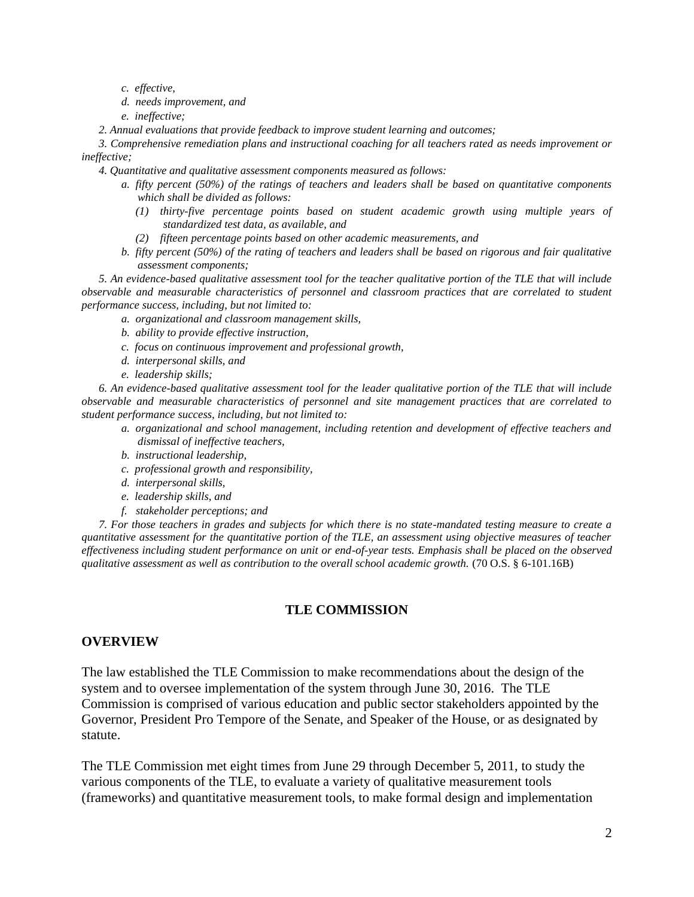- *c. effective,*
- *d. needs improvement, and*
- *e. ineffective;*
- *2. Annual evaluations that provide feedback to improve student learning and outcomes;*

 *3. Comprehensive remediation plans and instructional coaching for all teachers rated as needs improvement or ineffective;*

- *4. Quantitative and qualitative assessment components measured as follows:*
	- *a. fifty percent (50%) of the ratings of teachers and leaders shall be based on quantitative components which shall be divided as follows:* 
		- *(1) thirty-five percentage points based on student academic growth using multiple years of standardized test data, as available, and*
		- *(2) fifteen percentage points based on other academic measurements, and*
	- *b. fifty percent (50%) of the rating of teachers and leaders shall be based on rigorous and fair qualitative assessment components;*

 *5. An evidence-based qualitative assessment tool for the teacher qualitative portion of the TLE that will include observable and measurable characteristics of personnel and classroom practices that are correlated to student performance success, including, but not limited to:*

- *a. organizational and classroom management skills,*
- *b. ability to provide effective instruction,*
- *c. focus on continuous improvement and professional growth,*
- *d. interpersonal skills, and*
- *e. leadership skills;*

 *6. An evidence-based qualitative assessment tool for the leader qualitative portion of the TLE that will include observable and measurable characteristics of personnel and site management practices that are correlated to student performance success, including, but not limited to:*

- *a. organizational and school management, including retention and development of effective teachers and dismissal of ineffective teachers,*
- *b. instructional leadership,*
- *c. professional growth and responsibility,*
- *d. interpersonal skills,*
- *e. leadership skills, and*
- *f. stakeholder perceptions; and*

 *7. For those teachers in grades and subjects for which there is no state-mandated testing measure to create a quantitative assessment for the quantitative portion of the TLE, an assessment using objective measures of teacher effectiveness including student performance on unit or end-of-year tests. Emphasis shall be placed on the observed qualitative assessment as well as contribution to the overall school academic growth.* (70 O.S. § 6-101.16B)

#### **TLE COMMISSION**

#### **OVERVIEW**

The law established the TLE Commission to make recommendations about the design of the system and to oversee implementation of the system through June 30, 2016. The TLE Commission is comprised of various education and public sector stakeholders appointed by the Governor, President Pro Tempore of the Senate, and Speaker of the House, or as designated by statute.

The TLE Commission met eight times from June 29 through December 5, 2011, to study the various components of the TLE, to evaluate a variety of qualitative measurement tools (frameworks) and quantitative measurement tools, to make formal design and implementation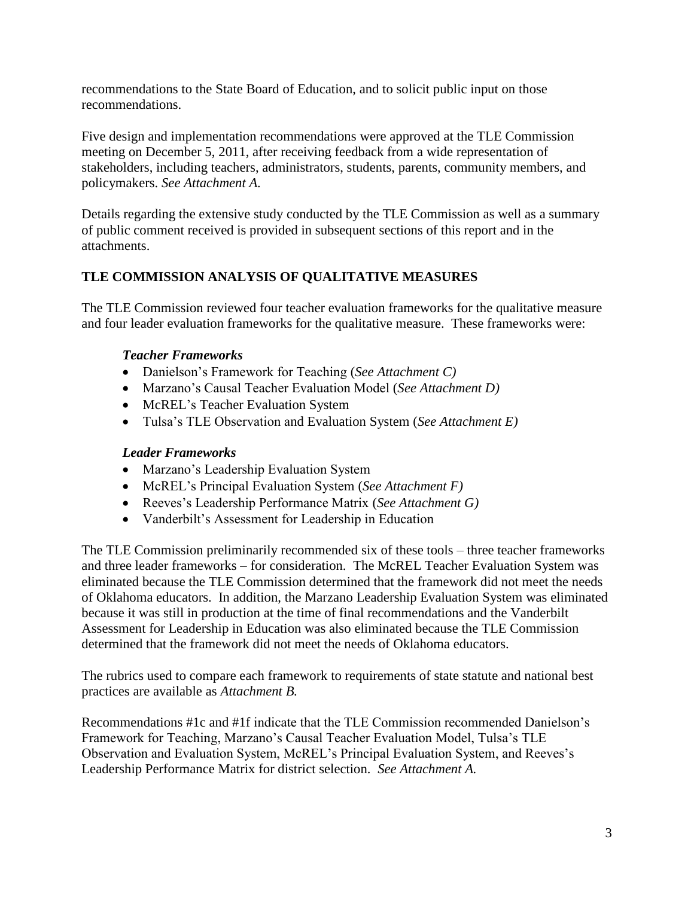recommendations to the State Board of Education, and to solicit public input on those recommendations.

Five design and implementation recommendations were approved at the TLE Commission meeting on December 5, 2011, after receiving feedback from a wide representation of stakeholders, including teachers, administrators, students, parents, community members, and policymakers. *See Attachment A.*

Details regarding the extensive study conducted by the TLE Commission as well as a summary of public comment received is provided in subsequent sections of this report and in the attachments.

### **TLE COMMISSION ANALYSIS OF QUALITATIVE MEASURES**

The TLE Commission reviewed four teacher evaluation frameworks for the qualitative measure and four leader evaluation frameworks for the qualitative measure. These frameworks were:

### *Teacher Frameworks*

- Danielson's Framework for Teaching (*See Attachment C)*
- Marzano's Causal Teacher Evaluation Model (*See Attachment D)*
- McREL's Teacher Evaluation System
- Tulsa's TLE Observation and Evaluation System (*See Attachment E)*

### *Leader Frameworks*

- Marzano's Leadership Evaluation System
- McREL's Principal Evaluation System (*See Attachment F)*
- Reeves's Leadership Performance Matrix (*See Attachment G)*
- Vanderbilt's Assessment for Leadership in Education

The TLE Commission preliminarily recommended six of these tools – three teacher frameworks and three leader frameworks – for consideration. The McREL Teacher Evaluation System was eliminated because the TLE Commission determined that the framework did not meet the needs of Oklahoma educators. In addition, the Marzano Leadership Evaluation System was eliminated because it was still in production at the time of final recommendations and the Vanderbilt Assessment for Leadership in Education was also eliminated because the TLE Commission determined that the framework did not meet the needs of Oklahoma educators.

The rubrics used to compare each framework to requirements of state statute and national best practices are available as *Attachment B.*

Recommendations #1c and #1f indicate that the TLE Commission recommended Danielson's Framework for Teaching, Marzano's Causal Teacher Evaluation Model, Tulsa's TLE Observation and Evaluation System, McREL's Principal Evaluation System, and Reeves's Leadership Performance Matrix for district selection. *See Attachment A.*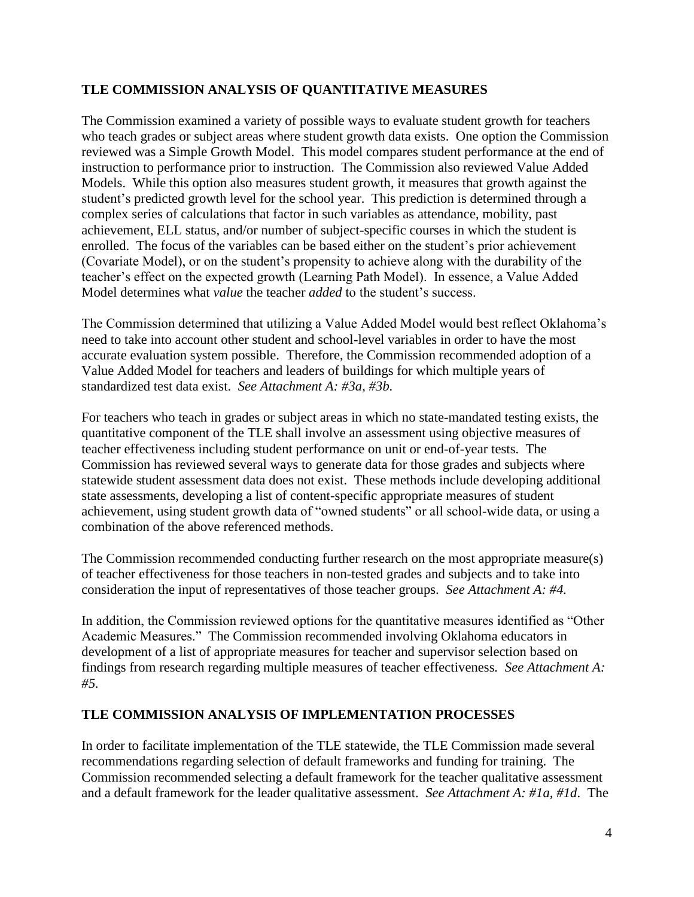### **TLE COMMISSION ANALYSIS OF QUANTITATIVE MEASURES**

The Commission examined a variety of possible ways to evaluate student growth for teachers who teach grades or subject areas where student growth data exists. One option the Commission reviewed was a Simple Growth Model. This model compares student performance at the end of instruction to performance prior to instruction. The Commission also reviewed Value Added Models. While this option also measures student growth, it measures that growth against the student's predicted growth level for the school year. This prediction is determined through a complex series of calculations that factor in such variables as attendance, mobility, past achievement, ELL status, and/or number of subject-specific courses in which the student is enrolled. The focus of the variables can be based either on the student's prior achievement (Covariate Model), or on the student's propensity to achieve along with the durability of the teacher's effect on the expected growth (Learning Path Model). In essence, a Value Added Model determines what *value* the teacher *added* to the student's success.

The Commission determined that utilizing a Value Added Model would best reflect Oklahoma's need to take into account other student and school-level variables in order to have the most accurate evaluation system possible. Therefore, the Commission recommended adoption of a Value Added Model for teachers and leaders of buildings for which multiple years of standardized test data exist. *See Attachment A: #3a, #3b.*

For teachers who teach in grades or subject areas in which no state-mandated testing exists, the quantitative component of the TLE shall involve an assessment using objective measures of teacher effectiveness including student performance on unit or end-of-year tests. The Commission has reviewed several ways to generate data for those grades and subjects where statewide student assessment data does not exist. These methods include developing additional state assessments, developing a list of content-specific appropriate measures of student achievement, using student growth data of "owned students" or all school-wide data, or using a combination of the above referenced methods.

The Commission recommended conducting further research on the most appropriate measure(s) of teacher effectiveness for those teachers in non-tested grades and subjects and to take into consideration the input of representatives of those teacher groups. *See Attachment A: #4.*

In addition, the Commission reviewed options for the quantitative measures identified as "Other Academic Measures." The Commission recommended involving Oklahoma educators in development of a list of appropriate measures for teacher and supervisor selection based on findings from research regarding multiple measures of teacher effectiveness*. See Attachment A: #5.*

### **TLE COMMISSION ANALYSIS OF IMPLEMENTATION PROCESSES**

In order to facilitate implementation of the TLE statewide, the TLE Commission made several recommendations regarding selection of default frameworks and funding for training. The Commission recommended selecting a default framework for the teacher qualitative assessment and a default framework for the leader qualitative assessment. *See Attachment A: #1a, #1d*. The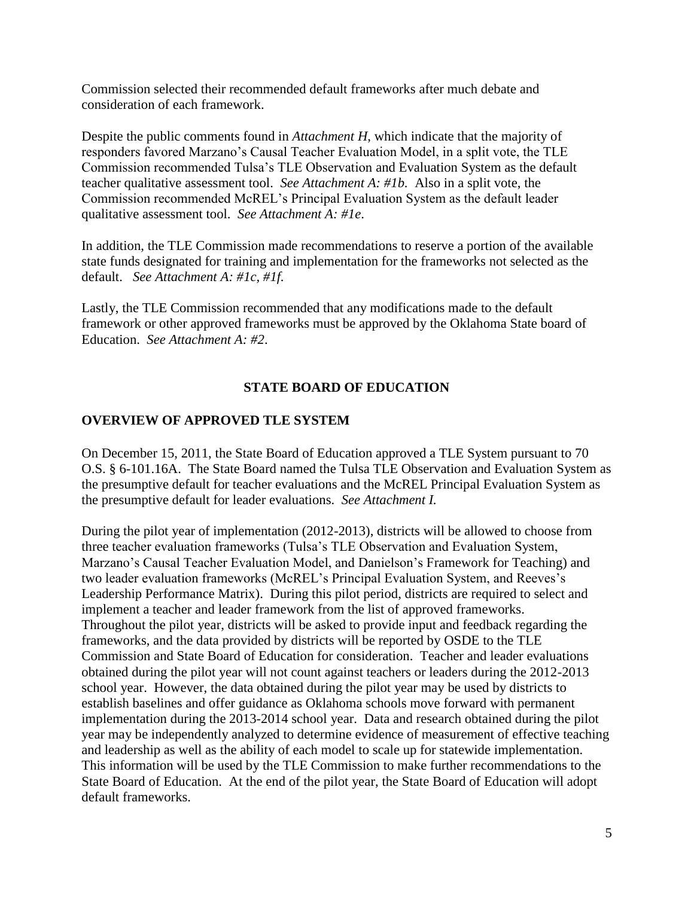Commission selected their recommended default frameworks after much debate and consideration of each framework.

Despite the public comments found in *Attachment H*, which indicate that the majority of responders favored Marzano's Causal Teacher Evaluation Model, in a split vote, the TLE Commission recommended Tulsa's TLE Observation and Evaluation System as the default teacher qualitative assessment tool. *See Attachment A: #1b.* Also in a split vote, the Commission recommended McREL's Principal Evaluation System as the default leader qualitative assessment tool. *See Attachment A: #1e*.

In addition, the TLE Commission made recommendations to reserve a portion of the available state funds designated for training and implementation for the frameworks not selected as the default. *See Attachment A: #1c, #1f.*

Lastly, the TLE Commission recommended that any modifications made to the default framework or other approved frameworks must be approved by the Oklahoma State board of Education. *See Attachment A: #2*.

#### **STATE BOARD OF EDUCATION**

### **OVERVIEW OF APPROVED TLE SYSTEM**

On December 15, 2011, the State Board of Education approved a TLE System pursuant to 70 O.S. § 6-101.16A. The State Board named the Tulsa TLE Observation and Evaluation System as the presumptive default for teacher evaluations and the McREL Principal Evaluation System as the presumptive default for leader evaluations. *See Attachment I.*

During the pilot year of implementation (2012-2013), districts will be allowed to choose from three teacher evaluation frameworks (Tulsa's TLE Observation and Evaluation System, Marzano's Causal Teacher Evaluation Model, and Danielson's Framework for Teaching) and two leader evaluation frameworks (McREL's Principal Evaluation System, and Reeves's Leadership Performance Matrix). During this pilot period, districts are required to select and implement a teacher and leader framework from the list of approved frameworks. Throughout the pilot year, districts will be asked to provide input and feedback regarding the frameworks, and the data provided by districts will be reported by OSDE to the TLE Commission and State Board of Education for consideration. Teacher and leader evaluations obtained during the pilot year will not count against teachers or leaders during the 2012-2013 school year. However, the data obtained during the pilot year may be used by districts to establish baselines and offer guidance as Oklahoma schools move forward with permanent implementation during the 2013-2014 school year. Data and research obtained during the pilot year may be independently analyzed to determine evidence of measurement of effective teaching and leadership as well as the ability of each model to scale up for statewide implementation. This information will be used by the TLE Commission to make further recommendations to the State Board of Education. At the end of the pilot year, the State Board of Education will adopt default frameworks.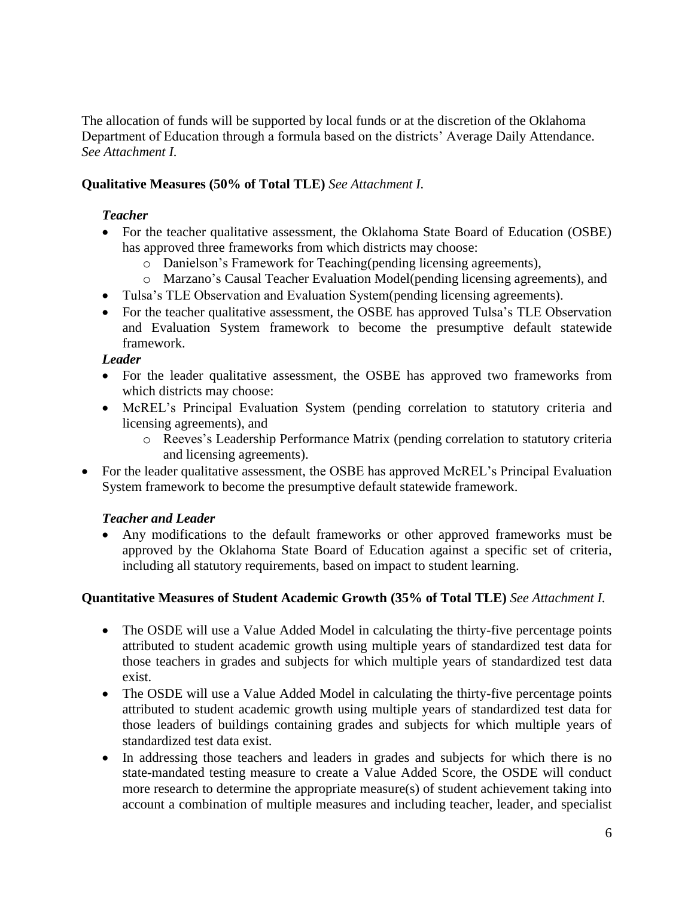The allocation of funds will be supported by local funds or at the discretion of the Oklahoma Department of Education through a formula based on the districts' Average Daily Attendance. *See Attachment I.*

### **Qualitative Measures (50% of Total TLE)** *See Attachment I.*

### *Teacher*

- For the teacher qualitative assessment, the Oklahoma State Board of Education (OSBE) has approved three frameworks from which districts may choose:
	- o Danielson's Framework for Teaching(pending licensing agreements),
	- o Marzano's Causal Teacher Evaluation Model(pending licensing agreements), and
- Tulsa's TLE Observation and Evaluation System(pending licensing agreements).
- For the teacher qualitative assessment, the OSBE has approved Tulsa's TLE Observation and Evaluation System framework to become the presumptive default statewide framework.

### *Leader*

- For the leader qualitative assessment, the OSBE has approved two frameworks from which districts may choose:
- McREL's Principal Evaluation System (pending correlation to statutory criteria and licensing agreements), and
	- o Reeves's Leadership Performance Matrix (pending correlation to statutory criteria and licensing agreements).
- For the leader qualitative assessment, the OSBE has approved McREL's Principal Evaluation System framework to become the presumptive default statewide framework.

### *Teacher and Leader*

 Any modifications to the default frameworks or other approved frameworks must be approved by the Oklahoma State Board of Education against a specific set of criteria, including all statutory requirements, based on impact to student learning.

### **Quantitative Measures of Student Academic Growth (35% of Total TLE)** *See Attachment I.*

- The OSDE will use a Value Added Model in calculating the thirty-five percentage points attributed to student academic growth using multiple years of standardized test data for those teachers in grades and subjects for which multiple years of standardized test data exist.
- The OSDE will use a Value Added Model in calculating the thirty-five percentage points attributed to student academic growth using multiple years of standardized test data for those leaders of buildings containing grades and subjects for which multiple years of standardized test data exist.
- In addressing those teachers and leaders in grades and subjects for which there is no state-mandated testing measure to create a Value Added Score, the OSDE will conduct more research to determine the appropriate measure(s) of student achievement taking into account a combination of multiple measures and including teacher, leader, and specialist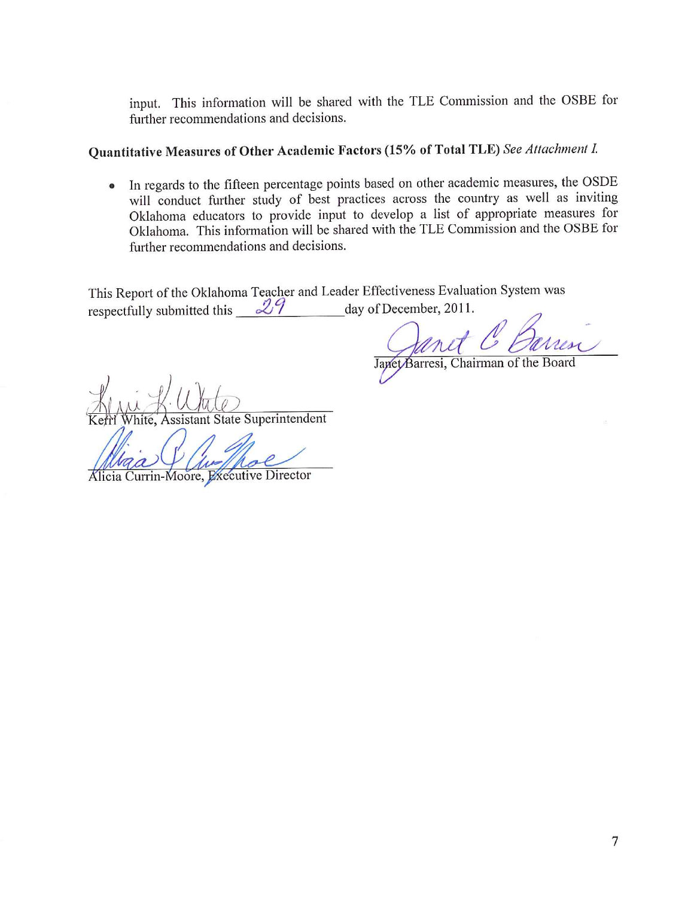input. This information will be shared with the TLE Commission and the OSBE for further recommendations and decisions.

### Quantitative Measures of Other Academic Factors (15% of Total TLE) See Attachment I.

• In regards to the fifteen percentage points based on other academic measures, the OSDE will conduct further study of best practices across the country as well as inviting Oklahoma educators to provide input to develop a list of appropriate measures for Oklahoma. This information will be shared with the TLE Commission and the OSBE for further recommendations and decisions.

This Report of the Oklahoma Teacher and Leader Effectiveness Evaluation System was respectfully submitted this  $29$ day of December, 2011.

Janet Barresi, Chairman of the Board

ssistant State Superintendent

Alicia Currin-Moore, Executive Director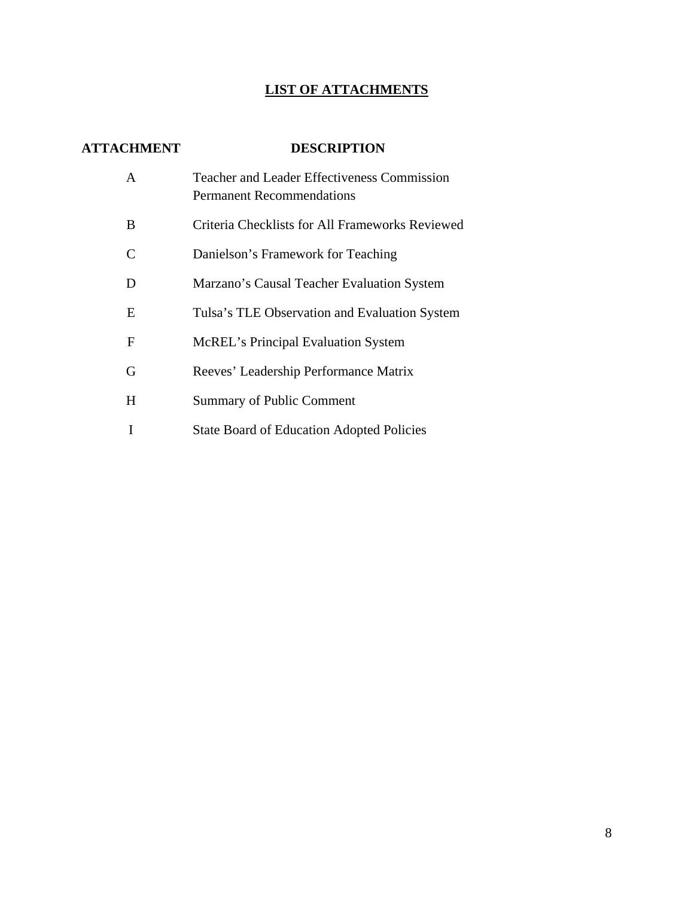### **LIST OF ATTACHMENTS**

### **ATTACHMENT DESCRIPTION**

| A | <b>Teacher and Leader Effectiveness Commission</b><br><b>Permanent Recommendations</b> |
|---|----------------------------------------------------------------------------------------|
| B | Criteria Checklists for All Frameworks Reviewed                                        |
| C | Danielson's Framework for Teaching                                                     |
| D | Marzano's Causal Teacher Evaluation System                                             |
| E | Tulsa's TLE Observation and Evaluation System                                          |
| F | McREL's Principal Evaluation System                                                    |
| G | Reeves' Leadership Performance Matrix                                                  |
| H | <b>Summary of Public Comment</b>                                                       |
|   | <b>State Board of Education Adopted Policies</b>                                       |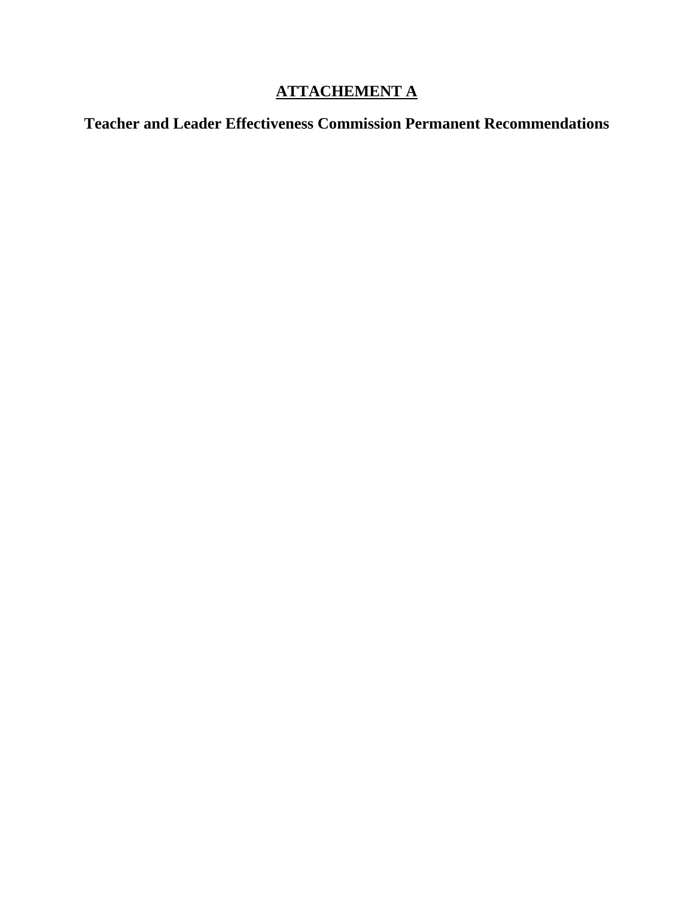### **ATTACHEMENT A**

**Teacher and Leader Effectiveness Commission Permanent Recommendations**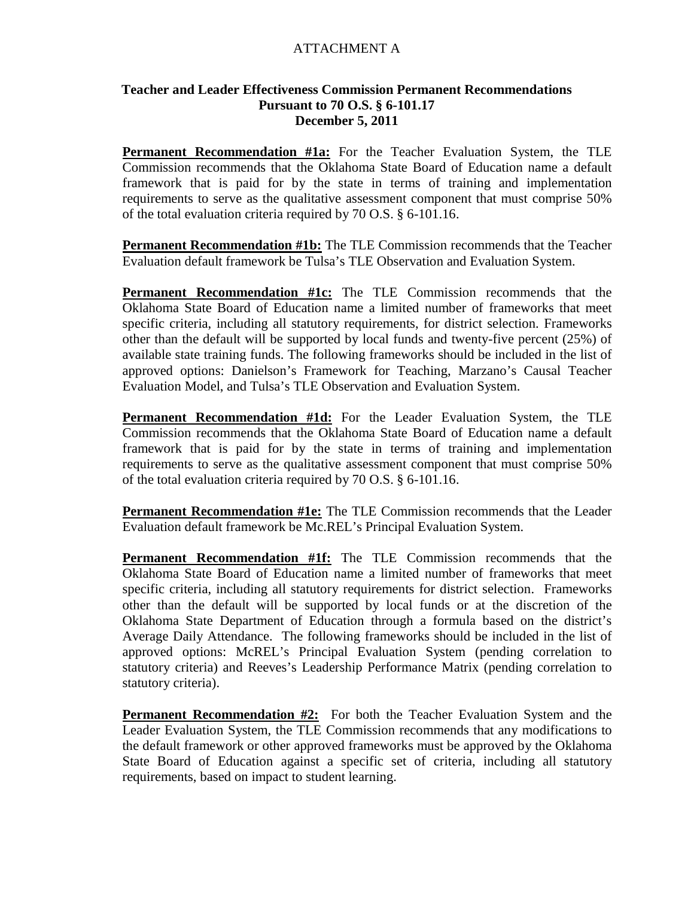#### ATTACHMENT A

#### **Teacher and Leader Effectiveness Commission Permanent Recommendations Pursuant to 70 O.S. § 6-101.17 December 5, 2011**

**Permanent Recommendation #1a:** For the Teacher Evaluation System, the TLE Commission recommends that the Oklahoma State Board of Education name a default framework that is paid for by the state in terms of training and implementation requirements to serve as the qualitative assessment component that must comprise 50% of the total evaluation criteria required by 70 O.S. § 6-101.16.

**Permanent Recommendation #1b:** The TLE Commission recommends that the Teacher Evaluation default framework be Tulsa's TLE Observation and Evaluation System.

**Permanent Recommendation #1c:** The TLE Commission recommends that the Oklahoma State Board of Education name a limited number of frameworks that meet specific criteria, including all statutory requirements, for district selection. Frameworks other than the default will be supported by local funds and twenty-five percent (25%) of available state training funds. The following frameworks should be included in the list of approved options: Danielson's Framework for Teaching, Marzano's Causal Teacher Evaluation Model, and Tulsa's TLE Observation and Evaluation System.

**Permanent Recommendation #1d:** For the Leader Evaluation System, the TLE Commission recommends that the Oklahoma State Board of Education name a default framework that is paid for by the state in terms of training and implementation requirements to serve as the qualitative assessment component that must comprise 50% of the total evaluation criteria required by 70 O.S. § 6-101.16.

**Permanent Recommendation #1e:** The TLE Commission recommends that the Leader Evaluation default framework be Mc.REL's Principal Evaluation System.

**Permanent Recommendation #1f:** The TLE Commission recommends that the Oklahoma State Board of Education name a limited number of frameworks that meet specific criteria, including all statutory requirements for district selection. Frameworks other than the default will be supported by local funds or at the discretion of the Oklahoma State Department of Education through a formula based on the district's Average Daily Attendance. The following frameworks should be included in the list of approved options: McREL's Principal Evaluation System (pending correlation to statutory criteria) and Reeves's Leadership Performance Matrix (pending correlation to statutory criteria).

**Permanent Recommendation #2:** For both the Teacher Evaluation System and the Leader Evaluation System, the TLE Commission recommends that any modifications to the default framework or other approved frameworks must be approved by the Oklahoma State Board of Education against a specific set of criteria, including all statutory requirements, based on impact to student learning.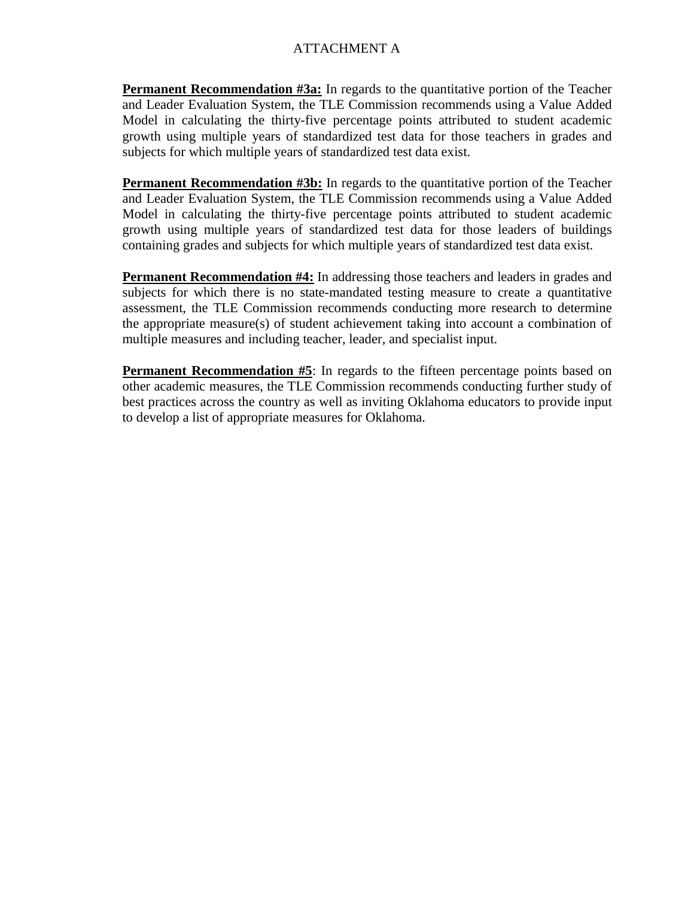### ATTACHMENT A

**Permanent Recommendation #3a:** In regards to the quantitative portion of the Teacher and Leader Evaluation System, the TLE Commission recommends using a Value Added Model in calculating the thirty-five percentage points attributed to student academic growth using multiple years of standardized test data for those teachers in grades and subjects for which multiple years of standardized test data exist.

**Permanent Recommendation #3b:** In regards to the quantitative portion of the Teacher and Leader Evaluation System, the TLE Commission recommends using a Value Added Model in calculating the thirty-five percentage points attributed to student academic growth using multiple years of standardized test data for those leaders of buildings containing grades and subjects for which multiple years of standardized test data exist.

**Permanent Recommendation #4:** In addressing those teachers and leaders in grades and subjects for which there is no state-mandated testing measure to create a quantitative assessment, the TLE Commission recommends conducting more research to determine the appropriate measure(s) of student achievement taking into account a combination of multiple measures and including teacher, leader, and specialist input.

**Permanent Recommendation #5**: In regards to the fifteen percentage points based on other academic measures, the TLE Commission recommends conducting further study of best practices across the country as well as inviting Oklahoma educators to provide input to develop a list of appropriate measures for Oklahoma.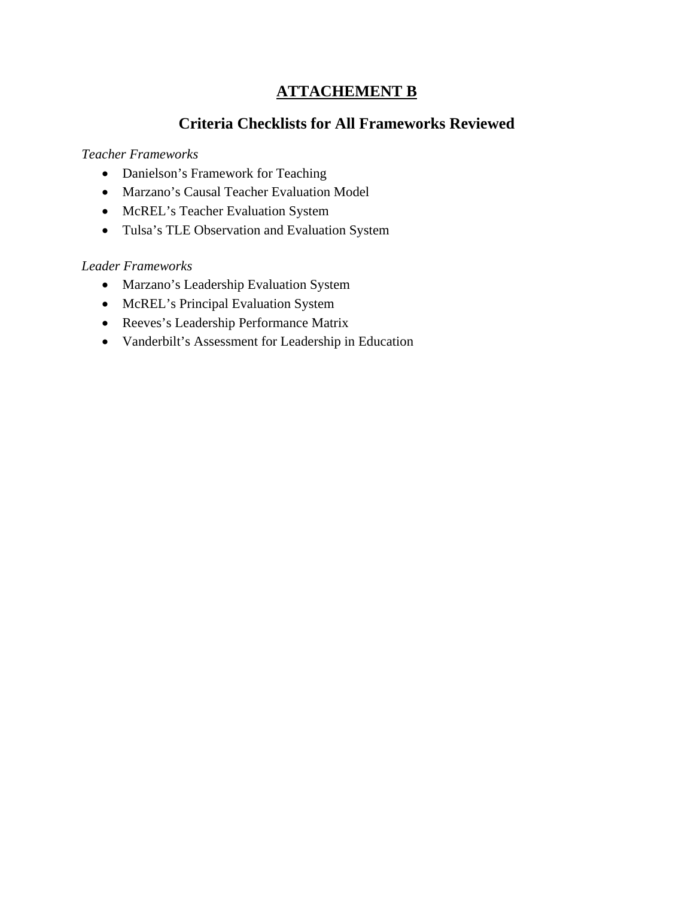### **ATTACHEMENT B**

### **Criteria Checklists for All Frameworks Reviewed**

### *Teacher Frameworks*

- Danielson's Framework for Teaching
- Marzano's Causal Teacher Evaluation Model
- McREL's Teacher Evaluation System
- Tulsa's TLE Observation and Evaluation System

### *Leader Frameworks*

- Marzano's Leadership Evaluation System
- McREL's Principal Evaluation System
- Reeves's Leadership Performance Matrix
- Vanderbilt's Assessment for Leadership in Education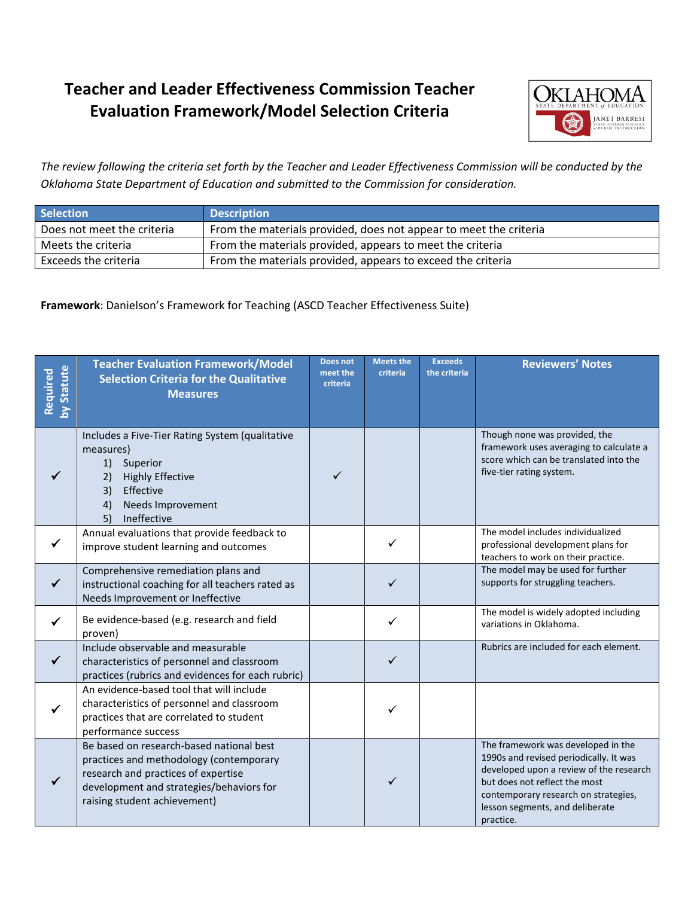

*The review following the criteria set forth by the Teacher and Leader Effectiveness Commission will be conducted by the Oklahoma State Department of Education and submitted to the Commission for consideration.*

| <b>Selection</b>           | <b>Description</b>                                                |
|----------------------------|-------------------------------------------------------------------|
| Does not meet the criteria | From the materials provided, does not appear to meet the criteria |
| Meets the criteria         | From the materials provided, appears to meet the criteria         |
| Exceeds the criteria       | From the materials provided, appears to exceed the criteria       |

**Framework**: Danielson's Framework for Teaching (ASCD Teacher Effectiveness Suite)

| by Statute<br>Required | <b>Teacher Evaluation Framework/Model</b><br><b>Selection Criteria for the Qualitative</b><br><b>Measures</b>                                                                                          | Does not<br>meet the<br>criteria | <b>Meets the</b><br>criteria | <b>Exceeds</b><br>the criteria | <b>Reviewers' Notes</b>                                                                                                                                                                                                                          |
|------------------------|--------------------------------------------------------------------------------------------------------------------------------------------------------------------------------------------------------|----------------------------------|------------------------------|--------------------------------|--------------------------------------------------------------------------------------------------------------------------------------------------------------------------------------------------------------------------------------------------|
|                        | Includes a Five-Tier Rating System (qualitative<br>measures)<br>1)<br>Superior<br>2)<br><b>Highly Effective</b><br>Effective<br>3)<br>Needs Improvement<br>4)<br>5)<br>Ineffective                     | $\checkmark$                     |                              |                                | Though none was provided, the<br>framework uses averaging to calculate a<br>score which can be translated into the<br>five-tier rating system.                                                                                                   |
| $\checkmark$           | Annual evaluations that provide feedback to<br>improve student learning and outcomes                                                                                                                   |                                  | $\checkmark$                 |                                | The model includes individualized<br>professional development plans for<br>teachers to work on their practice.                                                                                                                                   |
| $\checkmark$           | Comprehensive remediation plans and<br>instructional coaching for all teachers rated as<br>Needs Improvement or Ineffective                                                                            |                                  | $\checkmark$                 |                                | The model may be used for further<br>supports for struggling teachers.                                                                                                                                                                           |
| ✓                      | Be evidence-based (e.g. research and field<br>proven)                                                                                                                                                  |                                  | ✓                            |                                | The model is widely adopted including<br>variations in Oklahoma.                                                                                                                                                                                 |
| $\checkmark$           | Include observable and measurable<br>characteristics of personnel and classroom<br>practices (rubrics and evidences for each rubric)                                                                   |                                  | $\checkmark$                 |                                | Rubrics are included for each element.                                                                                                                                                                                                           |
|                        | An evidence-based tool that will include<br>characteristics of personnel and classroom<br>practices that are correlated to student<br>performance success                                              |                                  | ✓                            |                                |                                                                                                                                                                                                                                                  |
| $\checkmark$           | Be based on research-based national best<br>practices and methodology (contemporary<br>research and practices of expertise<br>development and strategies/behaviors for<br>raising student achievement) |                                  | ✓                            |                                | The framework was developed in the<br>1990s and revised periodically. It was<br>developed upon a review of the research<br>but does not reflect the most<br>contemporary research on strategies,<br>lesson segments, and deliberate<br>practice. |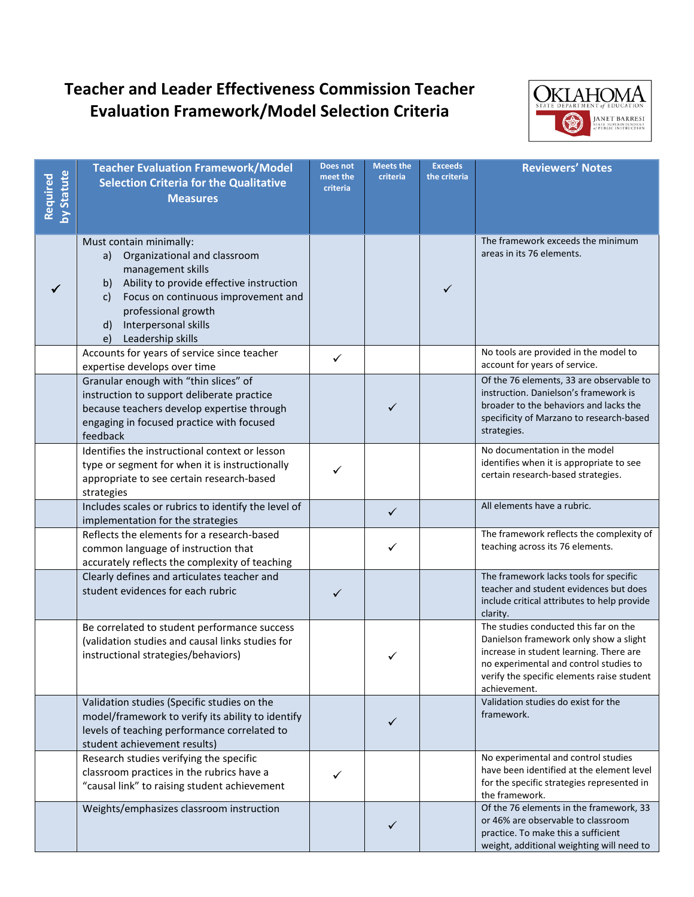

| by Statute<br>Required | <b>Teacher Evaluation Framework/Model</b><br><b>Selection Criteria for the Qualitative</b><br><b>Measures</b>                                                                                                                                                     | Does not<br>meet the<br>criteria | <b>Meets the</b><br>criteria | <b>Exceeds</b><br>the criteria | <b>Reviewers' Notes</b>                                                                                                                                                                                                            |
|------------------------|-------------------------------------------------------------------------------------------------------------------------------------------------------------------------------------------------------------------------------------------------------------------|----------------------------------|------------------------------|--------------------------------|------------------------------------------------------------------------------------------------------------------------------------------------------------------------------------------------------------------------------------|
|                        | Must contain minimally:<br>Organizational and classroom<br>a)<br>management skills<br>Ability to provide effective instruction<br>b)<br>Focus on continuous improvement and<br>c)<br>professional growth<br>Interpersonal skills<br>d)<br>Leadership skills<br>e) |                                  |                              | ✓                              | The framework exceeds the minimum<br>areas in its 76 elements.                                                                                                                                                                     |
|                        | Accounts for years of service since teacher<br>expertise develops over time                                                                                                                                                                                       | ✓                                |                              |                                | No tools are provided in the model to<br>account for years of service.                                                                                                                                                             |
|                        | Granular enough with "thin slices" of<br>instruction to support deliberate practice<br>because teachers develop expertise through<br>engaging in focused practice with focused<br>feedback                                                                        |                                  | ✓                            |                                | Of the 76 elements, 33 are observable to<br>instruction. Danielson's framework is<br>broader to the behaviors and lacks the<br>specificity of Marzano to research-based<br>strategies.                                             |
|                        | Identifies the instructional context or lesson<br>type or segment for when it is instructionally<br>appropriate to see certain research-based<br>strategies                                                                                                       | ✓                                |                              |                                | No documentation in the model<br>identifies when it is appropriate to see<br>certain research-based strategies.                                                                                                                    |
|                        | Includes scales or rubrics to identify the level of<br>implementation for the strategies                                                                                                                                                                          |                                  | $\checkmark$                 |                                | All elements have a rubric.                                                                                                                                                                                                        |
|                        | Reflects the elements for a research-based<br>common language of instruction that<br>accurately reflects the complexity of teaching                                                                                                                               |                                  | ✓                            |                                | The framework reflects the complexity of<br>teaching across its 76 elements.                                                                                                                                                       |
|                        | Clearly defines and articulates teacher and<br>student evidences for each rubric                                                                                                                                                                                  | $\checkmark$                     |                              |                                | The framework lacks tools for specific<br>teacher and student evidences but does<br>include critical attributes to help provide<br>clarity.                                                                                        |
|                        | Be correlated to student performance success<br>(validation studies and causal links studies for<br>instructional strategies/behaviors)                                                                                                                           |                                  |                              |                                | The studies conducted this far on the<br>Danielson framework only show a slight<br>increase in student learning. There are<br>no experimental and control studies to<br>verify the specific elements raise student<br>achievement. |
|                        | Validation studies (Specific studies on the<br>model/framework to verify its ability to identify<br>levels of teaching performance correlated to<br>student achievement results)                                                                                  |                                  | ✓                            |                                | Validation studies do exist for the<br>framework.                                                                                                                                                                                  |
|                        | Research studies verifying the specific<br>classroom practices in the rubrics have a<br>"causal link" to raising student achievement                                                                                                                              | ✓                                |                              |                                | No experimental and control studies<br>have been identified at the element level<br>for the specific strategies represented in<br>the framework.                                                                                   |
|                        | Weights/emphasizes classroom instruction                                                                                                                                                                                                                          |                                  | ✓                            |                                | Of the 76 elements in the framework, 33<br>or 46% are observable to classroom<br>practice. To make this a sufficient<br>weight, additional weighting will need to                                                                  |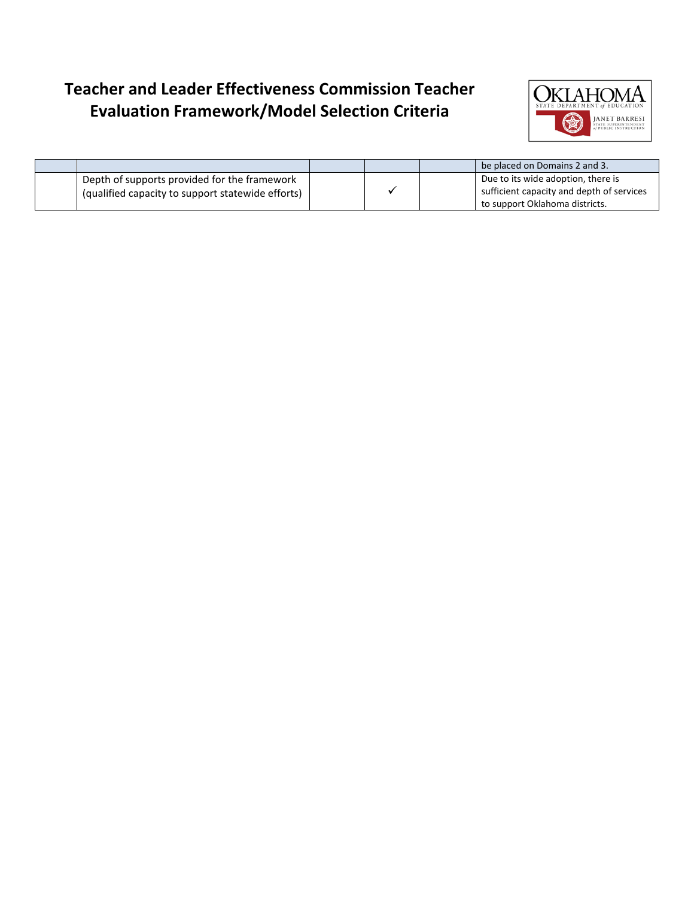

|                                                                |  | be placed on Domains 2 and 3.             |
|----------------------------------------------------------------|--|-------------------------------------------|
| Depth of supports provided for the framework                   |  | Due to its wide adoption, there is        |
| <sup>1</sup> (qualified capacity to support statewide efforts) |  | sufficient capacity and depth of services |
|                                                                |  | to support Oklahoma districts.            |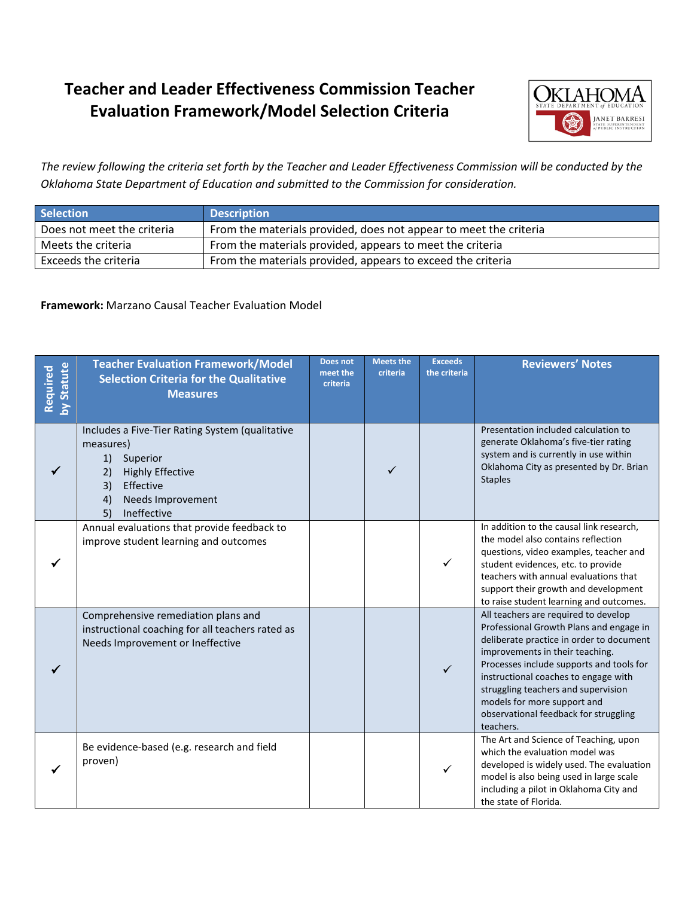

*The review following the criteria set forth by the Teacher and Leader Effectiveness Commission will be conducted by the Oklahoma State Department of Education and submitted to the Commission for consideration.*

| <b>Selection</b>           | <b>Description</b>                                                |
|----------------------------|-------------------------------------------------------------------|
| Does not meet the criteria | From the materials provided, does not appear to meet the criteria |
| Meets the criteria         | From the materials provided, appears to meet the criteria         |
| Exceeds the criteria       | From the materials provided, appears to exceed the criteria       |

#### **Framework:** Marzano Causal Teacher Evaluation Model

| by Statute<br>Required | <b>Teacher Evaluation Framework/Model</b><br><b>Selection Criteria for the Qualitative</b><br><b>Measures</b>                                                                      | <b>Does not</b><br>meet the<br>criteria | <b>Meets the</b><br>criteria | <b>Exceeds</b><br>the criteria | <b>Reviewers' Notes</b>                                                                                                                                                                                                                                                                                                                                                        |
|------------------------|------------------------------------------------------------------------------------------------------------------------------------------------------------------------------------|-----------------------------------------|------------------------------|--------------------------------|--------------------------------------------------------------------------------------------------------------------------------------------------------------------------------------------------------------------------------------------------------------------------------------------------------------------------------------------------------------------------------|
|                        | Includes a Five-Tier Rating System (qualitative<br>measures)<br>1)<br>Superior<br>2)<br><b>Highly Effective</b><br>3)<br>Effective<br>Needs Improvement<br>4)<br>5)<br>Ineffective |                                         | ✓                            |                                | Presentation included calculation to<br>generate Oklahoma's five-tier rating<br>system and is currently in use within<br>Oklahoma City as presented by Dr. Brian<br><b>Staples</b>                                                                                                                                                                                             |
|                        | Annual evaluations that provide feedback to<br>improve student learning and outcomes                                                                                               |                                         |                              | ✓                              | In addition to the causal link research,<br>the model also contains reflection<br>questions, video examples, teacher and<br>student evidences, etc. to provide<br>teachers with annual evaluations that<br>support their growth and development<br>to raise student learning and outcomes.                                                                                     |
|                        | Comprehensive remediation plans and<br>instructional coaching for all teachers rated as<br>Needs Improvement or Ineffective                                                        |                                         |                              |                                | All teachers are required to develop<br>Professional Growth Plans and engage in<br>deliberate practice in order to document<br>improvements in their teaching.<br>Processes include supports and tools for<br>instructional coaches to engage with<br>struggling teachers and supervision<br>models for more support and<br>observational feedback for struggling<br>teachers. |
|                        | Be evidence-based (e.g. research and field<br>proven)                                                                                                                              |                                         |                              |                                | The Art and Science of Teaching, upon<br>which the evaluation model was<br>developed is widely used. The evaluation<br>model is also being used in large scale<br>including a pilot in Oklahoma City and<br>the state of Florida.                                                                                                                                              |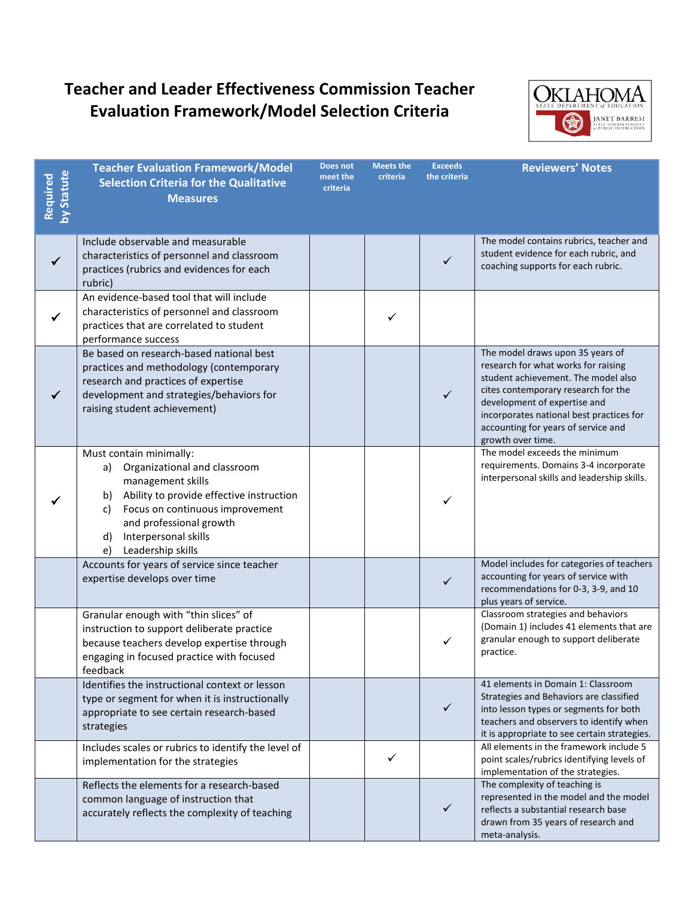

| Required<br>by Statute | <b>Teacher Evaluation Framework/Model</b><br><b>Selection Criteria for the Qualitative</b><br><b>Measures</b>                                                                                                                                                     | Does not<br>meet the<br>criteria | <b>Meets the</b><br>criteria | <b>Exceeds</b><br>the criteria | <b>Reviewers' Notes</b>                                                                                                                                                                                                                                                                       |
|------------------------|-------------------------------------------------------------------------------------------------------------------------------------------------------------------------------------------------------------------------------------------------------------------|----------------------------------|------------------------------|--------------------------------|-----------------------------------------------------------------------------------------------------------------------------------------------------------------------------------------------------------------------------------------------------------------------------------------------|
| $\checkmark$           | Include observable and measurable<br>characteristics of personnel and classroom<br>practices (rubrics and evidences for each<br>rubric)                                                                                                                           |                                  |                              | $\checkmark$                   | The model contains rubrics, teacher and<br>student evidence for each rubric, and<br>coaching supports for each rubric.                                                                                                                                                                        |
| $\checkmark$           | An evidence-based tool that will include<br>characteristics of personnel and classroom<br>practices that are correlated to student<br>performance success                                                                                                         |                                  | ✓                            |                                |                                                                                                                                                                                                                                                                                               |
| $\checkmark$           | Be based on research-based national best<br>practices and methodology (contemporary<br>research and practices of expertise<br>development and strategies/behaviors for<br>raising student achievement)                                                            |                                  |                              | $\checkmark$                   | The model draws upon 35 years of<br>research for what works for raising<br>student achievement. The model also<br>cites contemporary research for the<br>development of expertise and<br>incorporates national best practices for<br>accounting for years of service and<br>growth over time. |
|                        | Must contain minimally:<br>Organizational and classroom<br>a)<br>management skills<br>Ability to provide effective instruction<br>b)<br>Focus on continuous improvement<br>C)<br>and professional growth<br>d)<br>Interpersonal skills<br>Leadership skills<br>e) |                                  |                              | ✓                              | The model exceeds the minimum<br>requirements. Domains 3-4 incorporate<br>interpersonal skills and leadership skills.                                                                                                                                                                         |
|                        | Accounts for years of service since teacher<br>expertise develops over time                                                                                                                                                                                       |                                  |                              | ✓                              | Model includes for categories of teachers<br>accounting for years of service with<br>recommendations for 0-3, 3-9, and 10<br>plus years of service.                                                                                                                                           |
|                        | Granular enough with "thin slices" of<br>instruction to support deliberate practice<br>because teachers develop expertise through<br>engaging in focused practice with focused<br>feedback                                                                        |                                  |                              | ✓                              | Classroom strategies and behaviors<br>(Domain 1) includes 41 elements that are<br>granular enough to support deliberate<br>practice.                                                                                                                                                          |
|                        | Identifies the instructional context or lesson<br>type or segment for when it is instructionally<br>appropriate to see certain research-based<br>strategies                                                                                                       |                                  |                              | ✓                              | 41 elements in Domain 1: Classroom<br>Strategies and Behaviors are classified<br>into lesson types or segments for both<br>teachers and observers to identify when<br>it is appropriate to see certain strategies.                                                                            |
|                        | Includes scales or rubrics to identify the level of<br>implementation for the strategies                                                                                                                                                                          |                                  | ✓                            |                                | All elements in the framework include 5<br>point scales/rubrics identifying levels of<br>implementation of the strategies.                                                                                                                                                                    |
|                        | Reflects the elements for a research-based<br>common language of instruction that<br>accurately reflects the complexity of teaching                                                                                                                               |                                  |                              | ✓                              | The complexity of teaching is<br>represented in the model and the model<br>reflects a substantial research base<br>drawn from 35 years of research and<br>meta-analysis.                                                                                                                      |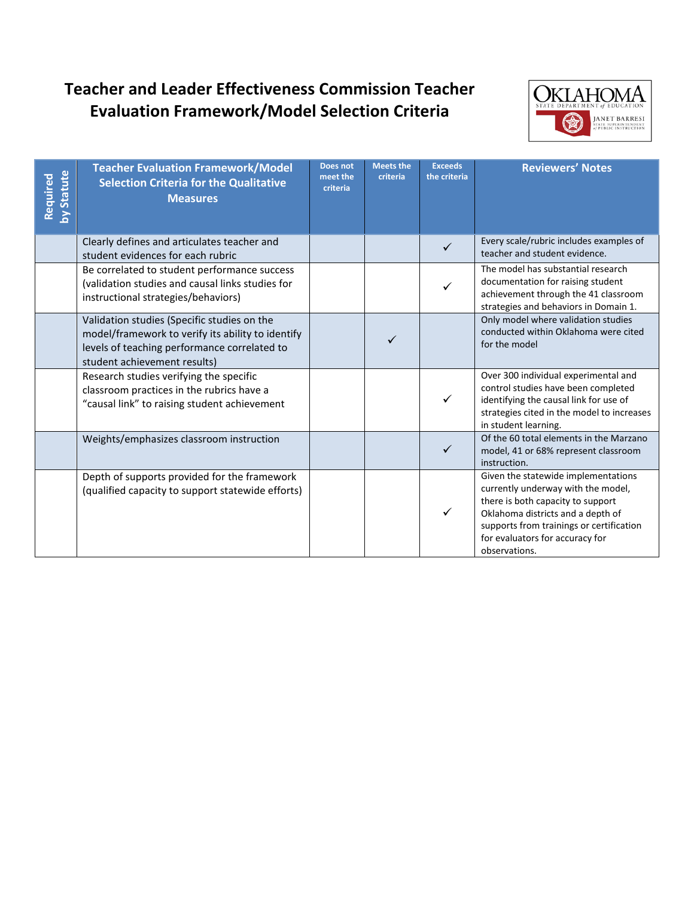

| by Statute<br>Required | <b>Teacher Evaluation Framework/Model</b><br><b>Selection Criteria for the Qualitative</b><br><b>Measures</b>                                                                    | <b>Does not</b><br>meet the<br>criteria | <b>Meets the</b><br>criteria | <b>Exceeds</b><br>the criteria | <b>Reviewers' Notes</b>                                                                                                                                                                                                                             |
|------------------------|----------------------------------------------------------------------------------------------------------------------------------------------------------------------------------|-----------------------------------------|------------------------------|--------------------------------|-----------------------------------------------------------------------------------------------------------------------------------------------------------------------------------------------------------------------------------------------------|
|                        | Clearly defines and articulates teacher and<br>student evidences for each rubric                                                                                                 |                                         |                              | $\checkmark$                   | Every scale/rubric includes examples of<br>teacher and student evidence.                                                                                                                                                                            |
|                        | Be correlated to student performance success<br>(validation studies and causal links studies for<br>instructional strategies/behaviors)                                          |                                         |                              |                                | The model has substantial research<br>documentation for raising student<br>achievement through the 41 classroom<br>strategies and behaviors in Domain 1.                                                                                            |
|                        | Validation studies (Specific studies on the<br>model/framework to verify its ability to identify<br>levels of teaching performance correlated to<br>student achievement results) |                                         |                              |                                | Only model where validation studies<br>conducted within Oklahoma were cited<br>for the model                                                                                                                                                        |
|                        | Research studies verifying the specific<br>classroom practices in the rubrics have a<br>"causal link" to raising student achievement                                             |                                         |                              | $\checkmark$                   | Over 300 individual experimental and<br>control studies have been completed<br>identifying the causal link for use of<br>strategies cited in the model to increases<br>in student learning.                                                         |
|                        | Weights/emphasizes classroom instruction                                                                                                                                         |                                         |                              | $\checkmark$                   | Of the 60 total elements in the Marzano<br>model, 41 or 68% represent classroom<br>instruction.                                                                                                                                                     |
|                        | Depth of supports provided for the framework<br>(qualified capacity to support statewide efforts)                                                                                |                                         |                              | $\checkmark$                   | Given the statewide implementations<br>currently underway with the model,<br>there is both capacity to support<br>Oklahoma districts and a depth of<br>supports from trainings or certification<br>for evaluators for accuracy for<br>observations. |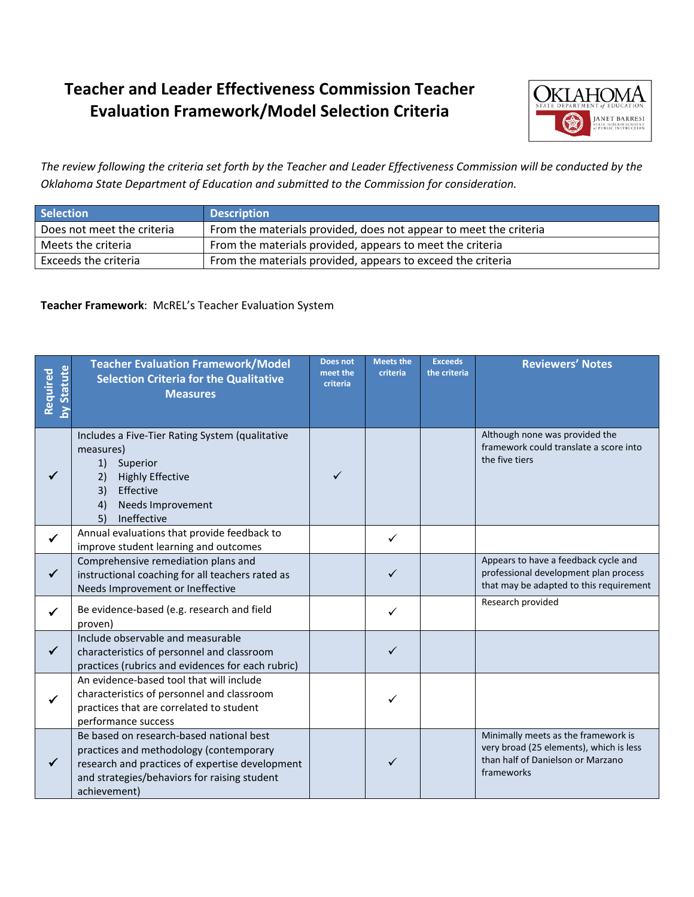

*The review following the criteria set forth by the Teacher and Leader Effectiveness Commission will be conducted by the Oklahoma State Department of Education and submitted to the Commission for consideration.*

| <b>Selection</b>           | <b>Description</b>                                                |
|----------------------------|-------------------------------------------------------------------|
| Does not meet the criteria | From the materials provided, does not appear to meet the criteria |
| Meets the criteria         | From the materials provided, appears to meet the criteria         |
| Exceeds the criteria       | From the materials provided, appears to exceed the criteria       |

#### **Teacher Framework**: McREL's Teacher Evaluation System

| <b>Statute</b><br>Required | <b>Teacher Evaluation Framework/Model</b><br><b>Selection Criteria for the Qualitative</b><br><b>Measures</b>                                                                                          | Does not<br>meet the<br>criteria | <b>Meets the</b><br>criteria | <b>Exceeds</b><br>the criteria | <b>Reviewers' Notes</b>                                                                                                           |
|----------------------------|--------------------------------------------------------------------------------------------------------------------------------------------------------------------------------------------------------|----------------------------------|------------------------------|--------------------------------|-----------------------------------------------------------------------------------------------------------------------------------|
|                            | Includes a Five-Tier Rating System (qualitative<br>measures)<br>Superior<br>1)<br><b>Highly Effective</b><br>2)<br>3)<br>Effective<br><b>Needs Improvement</b><br>4)<br>5)<br>Ineffective              |                                  |                              |                                | Although none was provided the<br>framework could translate a score into<br>the five tiers                                        |
| $\checkmark$               | Annual evaluations that provide feedback to<br>improve student learning and outcomes                                                                                                                   |                                  | ✓                            |                                |                                                                                                                                   |
| $\checkmark$               | Comprehensive remediation plans and<br>instructional coaching for all teachers rated as<br>Needs Improvement or Ineffective                                                                            |                                  | ✓                            |                                | Appears to have a feedback cycle and<br>professional development plan process<br>that may be adapted to this requirement          |
| ✓                          | Be evidence-based (e.g. research and field<br>proven)                                                                                                                                                  |                                  |                              |                                | Research provided                                                                                                                 |
| $\checkmark$               | Include observable and measurable<br>characteristics of personnel and classroom<br>practices (rubrics and evidences for each rubric)                                                                   |                                  |                              |                                |                                                                                                                                   |
|                            | An evidence-based tool that will include<br>characteristics of personnel and classroom<br>practices that are correlated to student<br>performance success                                              |                                  | ✓                            |                                |                                                                                                                                   |
|                            | Be based on research-based national best<br>practices and methodology (contemporary<br>research and practices of expertise development<br>and strategies/behaviors for raising student<br>achievement) |                                  | ✓                            |                                | Minimally meets as the framework is<br>very broad (25 elements), which is less<br>than half of Danielson or Marzano<br>frameworks |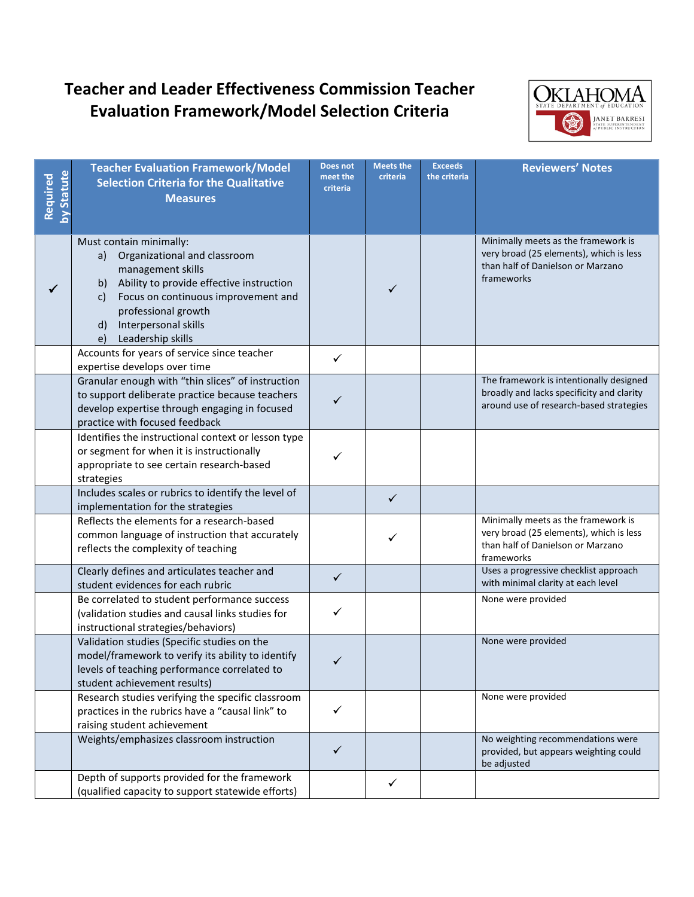

| <b>Statute</b><br>Required | <b>Teacher Evaluation Framework/Model</b><br><b>Selection Criteria for the Qualitative</b><br><b>Measures</b>                                                                                                                                                               | Does not<br>meet the<br>criteria | <b>Meets the</b><br>criteria | <b>Exceeds</b><br>the criteria | <b>Reviewers' Notes</b>                                                                                                           |
|----------------------------|-----------------------------------------------------------------------------------------------------------------------------------------------------------------------------------------------------------------------------------------------------------------------------|----------------------------------|------------------------------|--------------------------------|-----------------------------------------------------------------------------------------------------------------------------------|
|                            | Must contain minimally:<br>Organizational and classroom<br>a)<br>management skills<br>Ability to provide effective instruction<br>b)<br>Focus on continuous improvement and<br>c)<br>professional growth<br>Interpersonal skills<br>$\mathsf{d}$<br>Leadership skills<br>e) |                                  | ✓                            |                                | Minimally meets as the framework is<br>very broad (25 elements), which is less<br>than half of Danielson or Marzano<br>frameworks |
|                            | Accounts for years of service since teacher<br>expertise develops over time                                                                                                                                                                                                 | $\checkmark$                     |                              |                                |                                                                                                                                   |
|                            | Granular enough with "thin slices" of instruction<br>to support deliberate practice because teachers<br>develop expertise through engaging in focused<br>practice with focused feedback                                                                                     | ✓                                |                              |                                | The framework is intentionally designed<br>broadly and lacks specificity and clarity<br>around use of research-based strategies   |
|                            | Identifies the instructional context or lesson type<br>or segment for when it is instructionally<br>appropriate to see certain research-based<br>strategies                                                                                                                 | ✓                                |                              |                                |                                                                                                                                   |
|                            | Includes scales or rubrics to identify the level of<br>implementation for the strategies                                                                                                                                                                                    |                                  | $\checkmark$                 |                                |                                                                                                                                   |
|                            | Reflects the elements for a research-based<br>common language of instruction that accurately<br>reflects the complexity of teaching                                                                                                                                         |                                  | ✓                            |                                | Minimally meets as the framework is<br>very broad (25 elements), which is less<br>than half of Danielson or Marzano<br>frameworks |
|                            | Clearly defines and articulates teacher and<br>student evidences for each rubric                                                                                                                                                                                            | ✓                                |                              |                                | Uses a progressive checklist approach<br>with minimal clarity at each level                                                       |
|                            | Be correlated to student performance success<br>(validation studies and causal links studies for<br>instructional strategies/behaviors)                                                                                                                                     | ✓                                |                              |                                | None were provided                                                                                                                |
|                            | Validation studies (Specific studies on the<br>model/framework to verify its ability to identify<br>levels of teaching performance correlated to<br>student achievement results)                                                                                            | ✓                                |                              |                                | None were provided                                                                                                                |
|                            | Research studies verifying the specific classroom<br>practices in the rubrics have a "causal link" to<br>raising student achievement                                                                                                                                        | ✓                                |                              |                                | None were provided                                                                                                                |
|                            | Weights/emphasizes classroom instruction                                                                                                                                                                                                                                    | $\checkmark$                     |                              |                                | No weighting recommendations were<br>provided, but appears weighting could<br>be adjusted                                         |
|                            | Depth of supports provided for the framework<br>(qualified capacity to support statewide efforts)                                                                                                                                                                           |                                  | ✓                            |                                |                                                                                                                                   |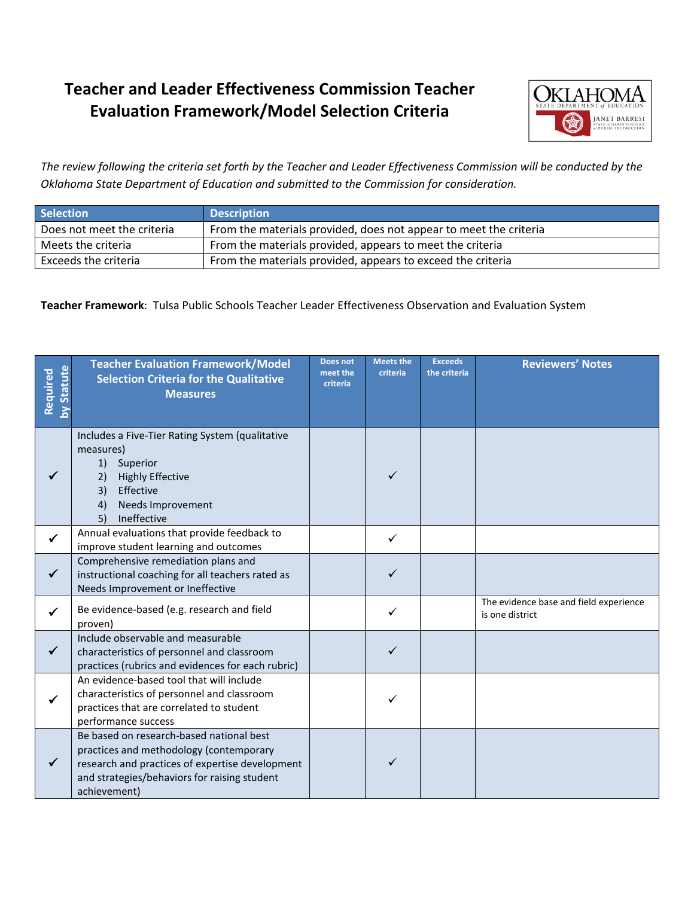

*The review following the criteria set forth by the Teacher and Leader Effectiveness Commission will be conducted by the Oklahoma State Department of Education and submitted to the Commission for consideration.*

| <b>Selection</b>           | <b>Description</b>                                                |
|----------------------------|-------------------------------------------------------------------|
| Does not meet the criteria | From the materials provided, does not appear to meet the criteria |
| Meets the criteria         | From the materials provided, appears to meet the criteria         |
| Exceeds the criteria       | From the materials provided, appears to exceed the criteria       |

**Teacher Framework**: Tulsa Public Schools Teacher Leader Effectiveness Observation and Evaluation System

| <b>Statute</b><br>Required<br>3 | <b>Teacher Evaluation Framework/Model</b><br><b>Selection Criteria for the Qualitative</b><br><b>Measures</b>                                                                                          | Does not<br>meet the<br>criteria | <b>Meets the</b><br>criteria | <b>Exceeds</b><br>the criteria | <b>Reviewers' Notes</b>                                   |
|---------------------------------|--------------------------------------------------------------------------------------------------------------------------------------------------------------------------------------------------------|----------------------------------|------------------------------|--------------------------------|-----------------------------------------------------------|
|                                 | Includes a Five-Tier Rating System (qualitative<br>measures)<br>Superior<br>1)<br>2)<br><b>Highly Effective</b><br>3)<br>Effective<br>Needs Improvement<br>4)<br>Ineffective<br>5)                     |                                  | ✓                            |                                |                                                           |
| $\checkmark$                    | Annual evaluations that provide feedback to<br>improve student learning and outcomes                                                                                                                   |                                  | ✓                            |                                |                                                           |
| $\checkmark$                    | Comprehensive remediation plans and<br>instructional coaching for all teachers rated as<br>Needs Improvement or Ineffective                                                                            |                                  | $\checkmark$                 |                                |                                                           |
| ✓                               | Be evidence-based (e.g. research and field<br>proven)                                                                                                                                                  |                                  |                              |                                | The evidence base and field experience<br>is one district |
| $\checkmark$                    | Include observable and measurable<br>characteristics of personnel and classroom<br>practices (rubrics and evidences for each rubric)                                                                   |                                  |                              |                                |                                                           |
|                                 | An evidence-based tool that will include<br>characteristics of personnel and classroom<br>practices that are correlated to student<br>performance success                                              |                                  |                              |                                |                                                           |
|                                 | Be based on research-based national best<br>practices and methodology (contemporary<br>research and practices of expertise development<br>and strategies/behaviors for raising student<br>achievement) |                                  |                              |                                |                                                           |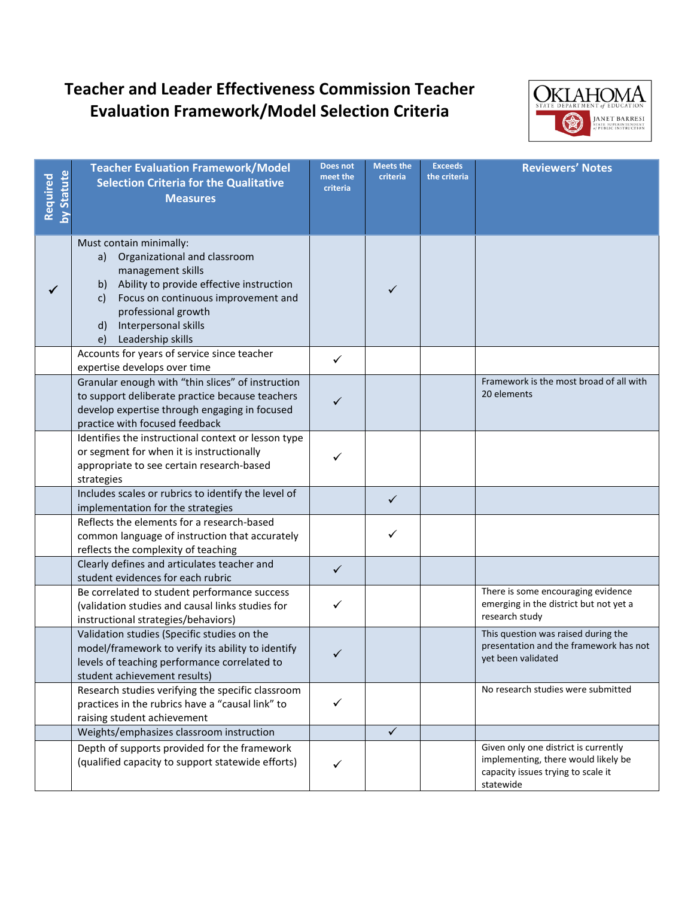

| <b>Statute</b><br>Required | <b>Teacher Evaluation Framework/Model</b><br><b>Selection Criteria for the Qualitative</b><br><b>Measures</b>                                                                                                                                                               | Does not<br>meet the<br>criteria | <b>Meets the</b><br>criteria | <b>Exceeds</b><br>the criteria | <b>Reviewers' Notes</b>                                                                                                        |
|----------------------------|-----------------------------------------------------------------------------------------------------------------------------------------------------------------------------------------------------------------------------------------------------------------------------|----------------------------------|------------------------------|--------------------------------|--------------------------------------------------------------------------------------------------------------------------------|
|                            | Must contain minimally:<br>Organizational and classroom<br>a)<br>management skills<br>Ability to provide effective instruction<br>b)<br>Focus on continuous improvement and<br>c)<br>professional growth<br>Interpersonal skills<br>$\mathsf{d}$<br>Leadership skills<br>e) |                                  | ✓                            |                                |                                                                                                                                |
|                            | Accounts for years of service since teacher<br>expertise develops over time                                                                                                                                                                                                 | ✓                                |                              |                                |                                                                                                                                |
|                            | Granular enough with "thin slices" of instruction<br>to support deliberate practice because teachers<br>develop expertise through engaging in focused<br>practice with focused feedback                                                                                     | ✓                                |                              |                                | Framework is the most broad of all with<br>20 elements                                                                         |
|                            | Identifies the instructional context or lesson type<br>or segment for when it is instructionally<br>appropriate to see certain research-based<br>strategies                                                                                                                 |                                  |                              |                                |                                                                                                                                |
|                            | Includes scales or rubrics to identify the level of<br>implementation for the strategies                                                                                                                                                                                    |                                  | $\checkmark$                 |                                |                                                                                                                                |
|                            | Reflects the elements for a research-based<br>common language of instruction that accurately<br>reflects the complexity of teaching                                                                                                                                         |                                  | ✓                            |                                |                                                                                                                                |
|                            | Clearly defines and articulates teacher and<br>student evidences for each rubric                                                                                                                                                                                            | $\checkmark$                     |                              |                                |                                                                                                                                |
|                            | Be correlated to student performance success<br>(validation studies and causal links studies for<br>instructional strategies/behaviors)                                                                                                                                     | $\checkmark$                     |                              |                                | There is some encouraging evidence<br>emerging in the district but not yet a<br>research study                                 |
|                            | Validation studies (Specific studies on the<br>model/framework to verify its ability to identify<br>levels of teaching performance correlated to<br>student achievement results)                                                                                            | ✓                                |                              |                                | This question was raised during the<br>presentation and the framework has not<br>yet been validated                            |
|                            | Research studies verifying the specific classroom<br>practices in the rubrics have a "causal link" to<br>raising student achievement                                                                                                                                        | ✓                                |                              |                                | No research studies were submitted                                                                                             |
|                            | Weights/emphasizes classroom instruction                                                                                                                                                                                                                                    |                                  | ✓                            |                                |                                                                                                                                |
|                            | Depth of supports provided for the framework<br>(qualified capacity to support statewide efforts)                                                                                                                                                                           | ✓                                |                              |                                | Given only one district is currently<br>implementing, there would likely be<br>capacity issues trying to scale it<br>statewide |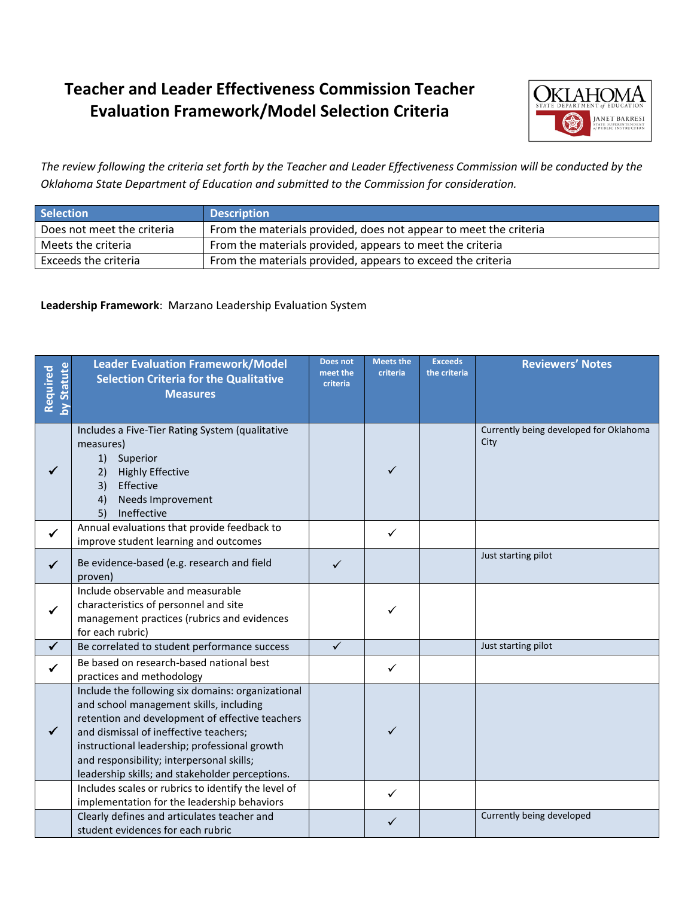

*The review following the criteria set forth by the Teacher and Leader Effectiveness Commission will be conducted by the Oklahoma State Department of Education and submitted to the Commission for consideration.*

| <b>Selection</b>           | <b>Description</b>                                                |
|----------------------------|-------------------------------------------------------------------|
| Does not meet the criteria | From the materials provided, does not appear to meet the criteria |
| Meets the criteria         | From the materials provided, appears to meet the criteria         |
| Exceeds the criteria       | From the materials provided, appears to exceed the criteria       |

#### **Leadership Framework**: Marzano Leadership Evaluation System

| <b>Statute</b><br>Required | <b>Leader Evaluation Framework/Model</b><br><b>Selection Criteria for the Qualitative</b><br><b>Measures</b>                                                                                                                                                                                                                               | Does not<br>meet the<br>criteria | <b>Meets the</b><br>criteria | <b>Exceeds</b><br>the criteria | <b>Reviewers' Notes</b>                        |
|----------------------------|--------------------------------------------------------------------------------------------------------------------------------------------------------------------------------------------------------------------------------------------------------------------------------------------------------------------------------------------|----------------------------------|------------------------------|--------------------------------|------------------------------------------------|
|                            | Includes a Five-Tier Rating System (qualitative<br>measures)<br>1) Superior<br><b>Highly Effective</b><br>2)<br>3)<br>Effective<br>Needs Improvement<br>4)<br>Ineffective<br>5)                                                                                                                                                            |                                  | ✓                            |                                | Currently being developed for Oklahoma<br>City |
| $\checkmark$               | Annual evaluations that provide feedback to<br>improve student learning and outcomes                                                                                                                                                                                                                                                       |                                  | $\checkmark$                 |                                |                                                |
| ✓                          | Be evidence-based (e.g. research and field<br>proven)                                                                                                                                                                                                                                                                                      | ✓                                |                              |                                | Just starting pilot                            |
| ✓                          | Include observable and measurable<br>characteristics of personnel and site<br>management practices (rubrics and evidences<br>for each rubric)                                                                                                                                                                                              |                                  | ✓                            |                                |                                                |
| $\checkmark$               | Be correlated to student performance success                                                                                                                                                                                                                                                                                               | $\checkmark$                     |                              |                                | Just starting pilot                            |
|                            | Be based on research-based national best<br>practices and methodology                                                                                                                                                                                                                                                                      |                                  | $\checkmark$                 |                                |                                                |
| $\checkmark$               | Include the following six domains: organizational<br>and school management skills, including<br>retention and development of effective teachers<br>and dismissal of ineffective teachers;<br>instructional leadership; professional growth<br>and responsibility; interpersonal skills;<br>leadership skills; and stakeholder perceptions. |                                  | ✓                            |                                |                                                |
|                            | Includes scales or rubrics to identify the level of<br>implementation for the leadership behaviors                                                                                                                                                                                                                                         |                                  | $\checkmark$                 |                                |                                                |
|                            | Clearly defines and articulates teacher and<br>student evidences for each rubric                                                                                                                                                                                                                                                           |                                  | $\checkmark$                 |                                | Currently being developed                      |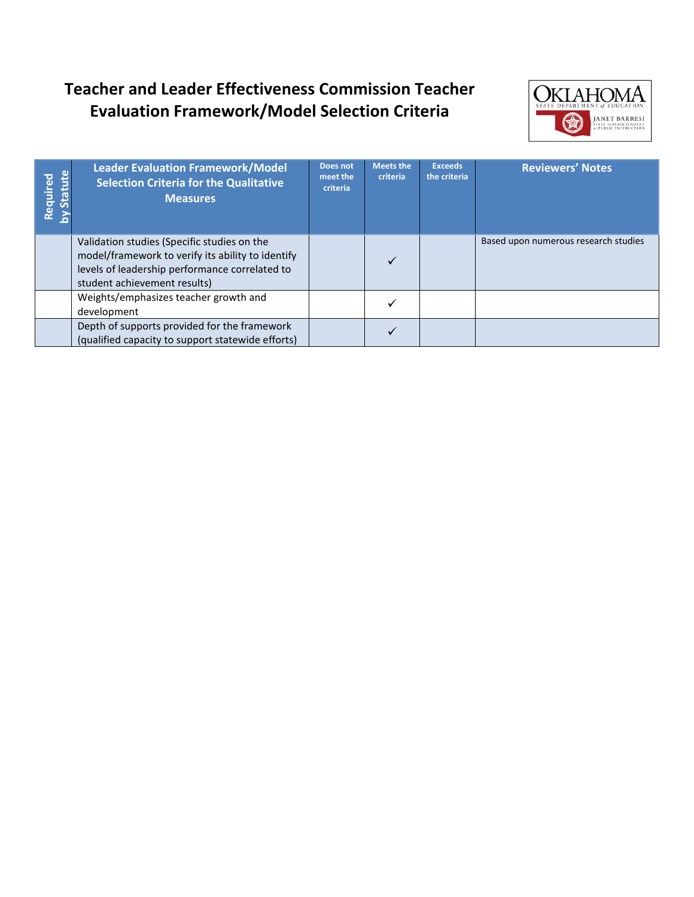

| Required<br>by Statute | <b>Leader Evaluation Framework/Model</b><br><b>Selection Criteria for the Qualitative</b><br><b>Measures</b>                                                                       | Does not<br>meet the<br>criteria | <b>Meets the</b><br>criteria | <b>Exceeds</b><br>the criteria | <b>Reviewers' Notes</b>              |
|------------------------|------------------------------------------------------------------------------------------------------------------------------------------------------------------------------------|----------------------------------|------------------------------|--------------------------------|--------------------------------------|
|                        | Validation studies (Specific studies on the<br>model/framework to verify its ability to identify<br>levels of leadership performance correlated to<br>student achievement results) |                                  | $\checkmark$                 |                                | Based upon numerous research studies |
|                        | Weights/emphasizes teacher growth and<br>development                                                                                                                               |                                  |                              |                                |                                      |
|                        | Depth of supports provided for the framework<br>(qualified capacity to support statewide efforts)                                                                                  |                                  |                              |                                |                                      |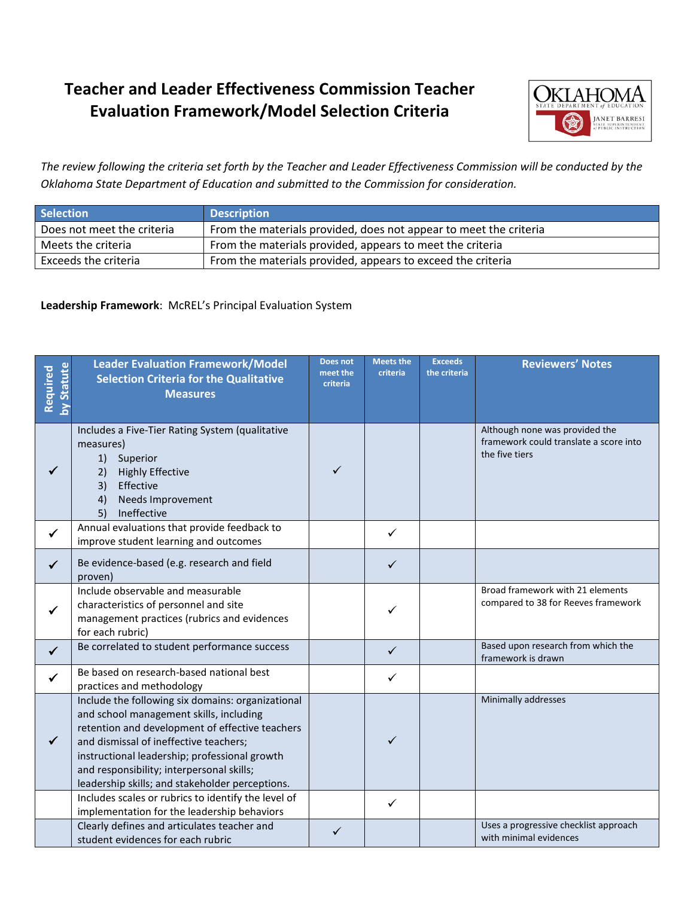

*The review following the criteria set forth by the Teacher and Leader Effectiveness Commission will be conducted by the Oklahoma State Department of Education and submitted to the Commission for consideration.*

| <b>Selection</b>           | <b>Description</b>                                                |
|----------------------------|-------------------------------------------------------------------|
| Does not meet the criteria | From the materials provided, does not appear to meet the criteria |
| Meets the criteria         | From the materials provided, appears to meet the criteria         |
| Exceeds the criteria       | From the materials provided, appears to exceed the criteria       |

#### **Leadership Framework**: McREL's Principal Evaluation System

| <b>Statute</b><br>Required | <b>Leader Evaluation Framework/Model</b><br><b>Selection Criteria for the Qualitative</b><br><b>Measures</b>                                                                                                                                                                                                                                                                                      | Does not<br>meet the<br>criteria | <b>Meets the</b><br>criteria | <b>Exceeds</b><br>the criteria | <b>Reviewers' Notes</b>                                                                    |
|----------------------------|---------------------------------------------------------------------------------------------------------------------------------------------------------------------------------------------------------------------------------------------------------------------------------------------------------------------------------------------------------------------------------------------------|----------------------------------|------------------------------|--------------------------------|--------------------------------------------------------------------------------------------|
| ✓                          | Includes a Five-Tier Rating System (qualitative<br>measures)<br>1)<br>Superior<br>2)<br><b>Highly Effective</b><br>3)<br>Effective<br>4)<br>Needs Improvement<br>5)<br>Ineffective                                                                                                                                                                                                                | ✓                                |                              |                                | Although none was provided the<br>framework could translate a score into<br>the five tiers |
| $\checkmark$               | Annual evaluations that provide feedback to<br>improve student learning and outcomes                                                                                                                                                                                                                                                                                                              |                                  | $\checkmark$                 |                                |                                                                                            |
| $\checkmark$               | Be evidence-based (e.g. research and field<br>proven)                                                                                                                                                                                                                                                                                                                                             |                                  | $\checkmark$                 |                                |                                                                                            |
|                            | Include observable and measurable<br>characteristics of personnel and site<br>management practices (rubrics and evidences<br>for each rubric)                                                                                                                                                                                                                                                     |                                  | ✓                            |                                | Broad framework with 21 elements<br>compared to 38 for Reeves framework                    |
| $\checkmark$               | Be correlated to student performance success                                                                                                                                                                                                                                                                                                                                                      |                                  | $\checkmark$                 |                                | Based upon research from which the<br>framework is drawn                                   |
| $\checkmark$               | Be based on research-based national best<br>practices and methodology                                                                                                                                                                                                                                                                                                                             |                                  | ✓                            |                                |                                                                                            |
| ✓                          | Include the following six domains: organizational<br>and school management skills, including<br>retention and development of effective teachers<br>and dismissal of ineffective teachers;<br>instructional leadership; professional growth<br>and responsibility; interpersonal skills;<br>leadership skills; and stakeholder perceptions.<br>Includes scales or rubrics to identify the level of |                                  | ✓                            |                                | Minimally addresses                                                                        |
|                            | implementation for the leadership behaviors<br>Clearly defines and articulates teacher and                                                                                                                                                                                                                                                                                                        |                                  | $\checkmark$                 |                                | Uses a progressive checklist approach                                                      |
|                            | student evidences for each rubric                                                                                                                                                                                                                                                                                                                                                                 | ✓                                |                              |                                | with minimal evidences                                                                     |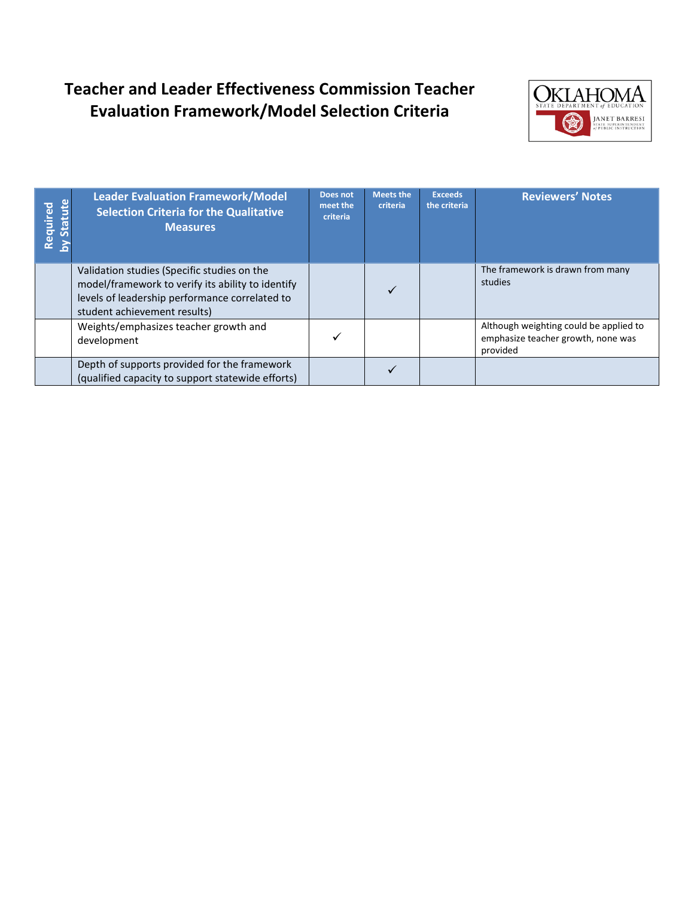

| tatute<br>Required | <b>Leader Evaluation Framework/Model</b><br><b>Selection Criteria for the Qualitative</b><br><b>Measures</b>                                                                       | Does not<br>meet the<br>criteria | <b>Meets the</b><br>criteria | <b>Exceeds</b><br>the criteria | <b>Reviewers' Notes</b>                                                                  |
|--------------------|------------------------------------------------------------------------------------------------------------------------------------------------------------------------------------|----------------------------------|------------------------------|--------------------------------|------------------------------------------------------------------------------------------|
|                    | Validation studies (Specific studies on the<br>model/framework to verify its ability to identify<br>levels of leadership performance correlated to<br>student achievement results) |                                  | $\checkmark$                 |                                | The framework is drawn from many<br>studies                                              |
|                    | Weights/emphasizes teacher growth and<br>development                                                                                                                               |                                  |                              |                                | Although weighting could be applied to<br>emphasize teacher growth, none was<br>provided |
|                    | Depth of supports provided for the framework<br>(qualified capacity to support statewide efforts)                                                                                  |                                  |                              |                                |                                                                                          |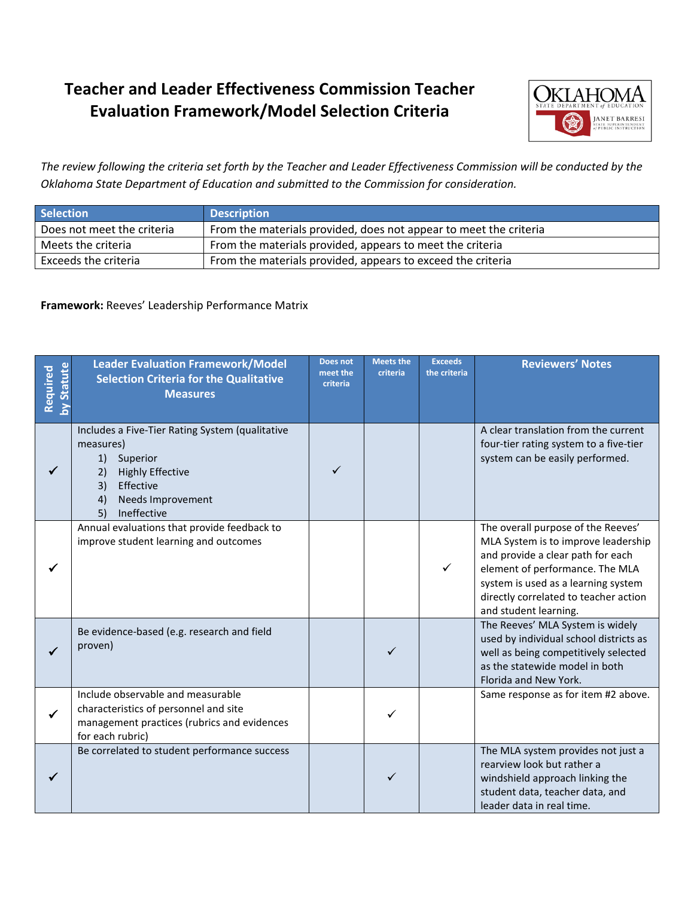

*The review following the criteria set forth by the Teacher and Leader Effectiveness Commission will be conducted by the Oklahoma State Department of Education and submitted to the Commission for consideration.*

| <b>Selection</b>           | <b>Description</b>                                                |
|----------------------------|-------------------------------------------------------------------|
| Does not meet the criteria | From the materials provided, does not appear to meet the criteria |
| Meets the criteria         | From the materials provided, appears to meet the criteria         |
| Exceeds the criteria       | From the materials provided, appears to exceed the criteria       |

#### **Framework:** Reeves' Leadership Performance Matrix

| Statute<br>Required | <b>Leader Evaluation Framework/Model</b><br><b>Selection Criteria for the Qualitative</b><br><b>Measures</b>                                                                       | <b>Does not</b><br>meet the<br>criteria | <b>Meets the</b><br>criteria | <b>Exceeds</b><br>the criteria | <b>Reviewers' Notes</b>                                                                                                                                                                                                                                    |
|---------------------|------------------------------------------------------------------------------------------------------------------------------------------------------------------------------------|-----------------------------------------|------------------------------|--------------------------------|------------------------------------------------------------------------------------------------------------------------------------------------------------------------------------------------------------------------------------------------------------|
|                     | Includes a Five-Tier Rating System (qualitative<br>measures)<br>1)<br>Superior<br><b>Highly Effective</b><br>2)<br>Effective<br>3)<br>Needs Improvement<br>4)<br>5)<br>Ineffective |                                         |                              |                                | A clear translation from the current<br>four-tier rating system to a five-tier<br>system can be easily performed.                                                                                                                                          |
|                     | Annual evaluations that provide feedback to<br>improve student learning and outcomes                                                                                               |                                         |                              | $\checkmark$                   | The overall purpose of the Reeves'<br>MLA System is to improve leadership<br>and provide a clear path for each<br>element of performance. The MLA<br>system is used as a learning system<br>directly correlated to teacher action<br>and student learning. |
|                     | Be evidence-based (e.g. research and field<br>proven)                                                                                                                              |                                         |                              |                                | The Reeves' MLA System is widely<br>used by individual school districts as<br>well as being competitively selected<br>as the statewide model in both<br>Florida and New York.                                                                              |
|                     | Include observable and measurable<br>characteristics of personnel and site<br>management practices (rubrics and evidences<br>for each rubric)                                      |                                         |                              |                                | Same response as for item #2 above.                                                                                                                                                                                                                        |
|                     | Be correlated to student performance success                                                                                                                                       |                                         | ✓                            |                                | The MLA system provides not just a<br>rearview look but rather a<br>windshield approach linking the<br>student data, teacher data, and<br>leader data in real time.                                                                                        |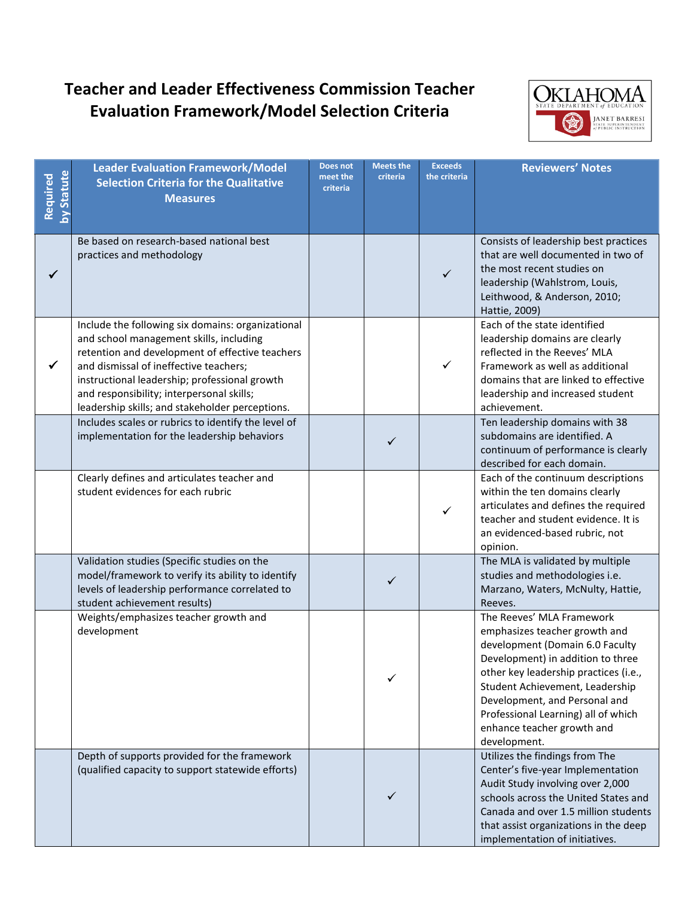

| Statute<br>Required | <b>Leader Evaluation Framework/Model</b><br><b>Selection Criteria for the Qualitative</b><br><b>Measures</b>                                                                                                                                                                                                                               | <b>Does not</b><br>meet the<br>criteria | <b>Meets the</b><br>criteria | <b>Exceeds</b><br>the criteria | <b>Reviewers' Notes</b>                                                                                                                                                                                                                                                                                                              |
|---------------------|--------------------------------------------------------------------------------------------------------------------------------------------------------------------------------------------------------------------------------------------------------------------------------------------------------------------------------------------|-----------------------------------------|------------------------------|--------------------------------|--------------------------------------------------------------------------------------------------------------------------------------------------------------------------------------------------------------------------------------------------------------------------------------------------------------------------------------|
| ✓                   | Be based on research-based national best<br>practices and methodology                                                                                                                                                                                                                                                                      |                                         |                              | $\checkmark$                   | Consists of leadership best practices<br>that are well documented in two of<br>the most recent studies on<br>leadership (Wahlstrom, Louis,<br>Leithwood, & Anderson, 2010;<br>Hattie, 2009)                                                                                                                                          |
| ✓                   | Include the following six domains: organizational<br>and school management skills, including<br>retention and development of effective teachers<br>and dismissal of ineffective teachers;<br>instructional leadership; professional growth<br>and responsibility; interpersonal skills;<br>leadership skills; and stakeholder perceptions. |                                         |                              | $\checkmark$                   | Each of the state identified<br>leadership domains are clearly<br>reflected in the Reeves' MLA<br>Framework as well as additional<br>domains that are linked to effective<br>leadership and increased student<br>achievement.                                                                                                        |
|                     | Includes scales or rubrics to identify the level of<br>implementation for the leadership behaviors                                                                                                                                                                                                                                         |                                         | ✓                            |                                | Ten leadership domains with 38<br>subdomains are identified. A<br>continuum of performance is clearly<br>described for each domain.                                                                                                                                                                                                  |
|                     | Clearly defines and articulates teacher and<br>student evidences for each rubric                                                                                                                                                                                                                                                           |                                         |                              | ✓                              | Each of the continuum descriptions<br>within the ten domains clearly<br>articulates and defines the required<br>teacher and student evidence. It is<br>an evidenced-based rubric, not<br>opinion.                                                                                                                                    |
|                     | Validation studies (Specific studies on the<br>model/framework to verify its ability to identify<br>levels of leadership performance correlated to<br>student achievement results)                                                                                                                                                         |                                         | ✓                            |                                | The MLA is validated by multiple<br>studies and methodologies i.e.<br>Marzano, Waters, McNulty, Hattie,<br>Reeves.                                                                                                                                                                                                                   |
|                     | Weights/emphasizes teacher growth and<br>development                                                                                                                                                                                                                                                                                       |                                         |                              |                                | The Reeves' MLA Framework<br>emphasizes teacher growth and<br>development (Domain 6.0 Faculty<br>Development) in addition to three<br>other key leadership practices (i.e.,<br>Student Achievement, Leadership<br>Development, and Personal and<br>Professional Learning) all of which<br>enhance teacher growth and<br>development. |
|                     | Depth of supports provided for the framework<br>(qualified capacity to support statewide efforts)                                                                                                                                                                                                                                          |                                         | ✓                            |                                | Utilizes the findings from The<br>Center's five-year Implementation<br>Audit Study involving over 2,000<br>schools across the United States and<br>Canada and over 1.5 million students<br>that assist organizations in the deep<br>implementation of initiatives.                                                                   |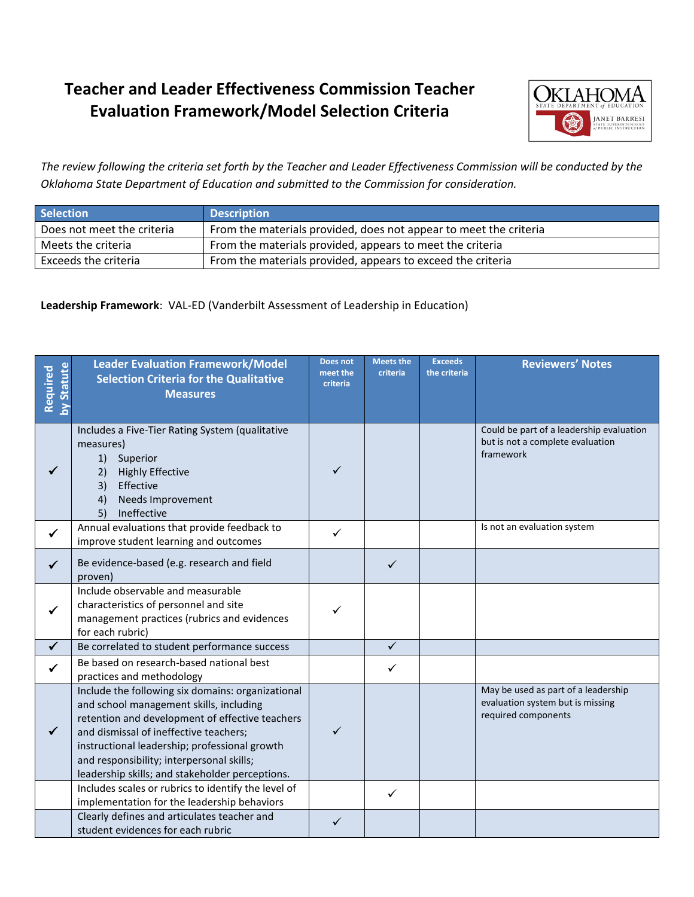

*The review following the criteria set forth by the Teacher and Leader Effectiveness Commission will be conducted by the Oklahoma State Department of Education and submitted to the Commission for consideration.*

| <b>Selection</b>           | <b>Description</b>                                                |
|----------------------------|-------------------------------------------------------------------|
| Does not meet the criteria | From the materials provided, does not appear to meet the criteria |
| Meets the criteria         | From the materials provided, appears to meet the criteria         |
| Exceeds the criteria       | From the materials provided, appears to exceed the criteria       |

**Leadership Framework**: VAL-ED (Vanderbilt Assessment of Leadership in Education)

| <b>Statute</b><br>Required | <b>Leader Evaluation Framework/Model</b><br><b>Selection Criteria for the Qualitative</b><br><b>Measures</b>                                                                                                                                                                                                                               | Does not<br>meet the<br>criteria | <b>Meets the</b><br>criteria | <b>Exceeds</b><br>the criteria | <b>Reviewers' Notes</b>                                                                        |
|----------------------------|--------------------------------------------------------------------------------------------------------------------------------------------------------------------------------------------------------------------------------------------------------------------------------------------------------------------------------------------|----------------------------------|------------------------------|--------------------------------|------------------------------------------------------------------------------------------------|
|                            | Includes a Five-Tier Rating System (qualitative<br>measures)<br>1) Superior<br><b>Highly Effective</b><br>2)<br>3)<br>Effective<br>Needs Improvement<br>4)<br>Ineffective<br>5)                                                                                                                                                            | ✓                                |                              |                                | Could be part of a leadership evaluation<br>but is not a complete evaluation<br>framework      |
| $\checkmark$               | Annual evaluations that provide feedback to<br>improve student learning and outcomes                                                                                                                                                                                                                                                       | ✓                                |                              |                                | Is not an evaluation system                                                                    |
| ✓                          | Be evidence-based (e.g. research and field<br>proven)                                                                                                                                                                                                                                                                                      |                                  | ✓                            |                                |                                                                                                |
|                            | Include observable and measurable<br>characteristics of personnel and site<br>management practices (rubrics and evidences<br>for each rubric)                                                                                                                                                                                              |                                  |                              |                                |                                                                                                |
|                            | Be correlated to student performance success                                                                                                                                                                                                                                                                                               |                                  | $\checkmark$                 |                                |                                                                                                |
|                            | Be based on research-based national best<br>practices and methodology                                                                                                                                                                                                                                                                      |                                  | ✓                            |                                |                                                                                                |
| $\checkmark$               | Include the following six domains: organizational<br>and school management skills, including<br>retention and development of effective teachers<br>and dismissal of ineffective teachers;<br>instructional leadership; professional growth<br>and responsibility; interpersonal skills;<br>leadership skills; and stakeholder perceptions. | ✓                                |                              |                                | May be used as part of a leadership<br>evaluation system but is missing<br>required components |
|                            | Includes scales or rubrics to identify the level of<br>implementation for the leadership behaviors                                                                                                                                                                                                                                         |                                  | $\checkmark$                 |                                |                                                                                                |
|                            | Clearly defines and articulates teacher and<br>student evidences for each rubric                                                                                                                                                                                                                                                           | ✓                                |                              |                                |                                                                                                |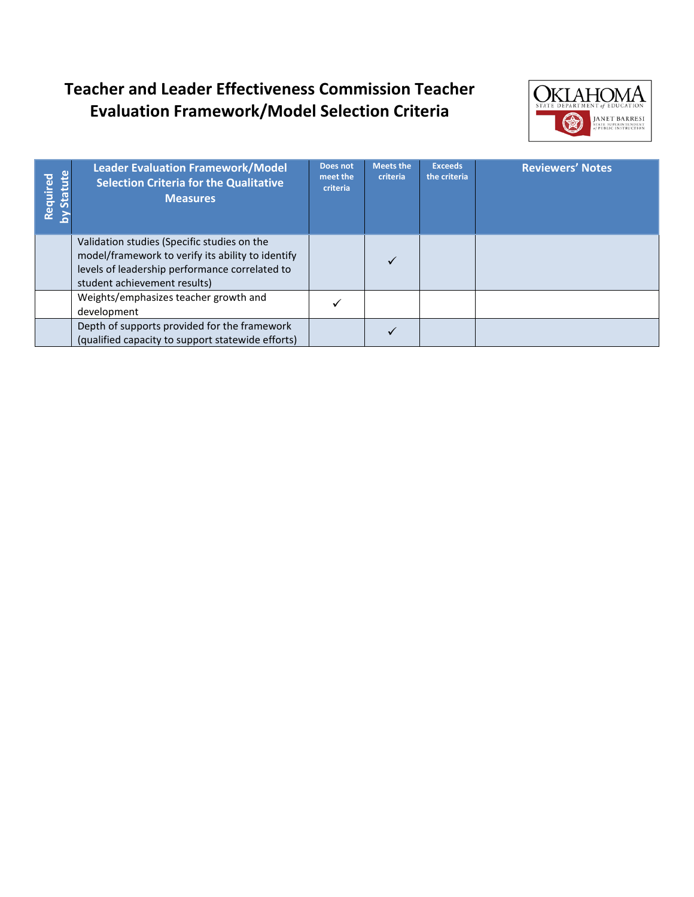

| <b>itatute</b><br>Required | <b>Leader Evaluation Framework/Model</b><br><b>Selection Criteria for the Qualitative</b><br><b>Measures</b>                                                                       | Does not<br>meet the<br>criteria | <b>Meets the</b><br>criteria | <b>Exceeds</b><br>the criteria | <b>Reviewers' Notes</b> |
|----------------------------|------------------------------------------------------------------------------------------------------------------------------------------------------------------------------------|----------------------------------|------------------------------|--------------------------------|-------------------------|
|                            | Validation studies (Specific studies on the<br>model/framework to verify its ability to identify<br>levels of leadership performance correlated to<br>student achievement results) |                                  | ✓                            |                                |                         |
|                            | Weights/emphasizes teacher growth and<br>development                                                                                                                               |                                  |                              |                                |                         |
|                            | Depth of supports provided for the framework<br>(qualified capacity to support statewide efforts)                                                                                  |                                  |                              |                                |                         |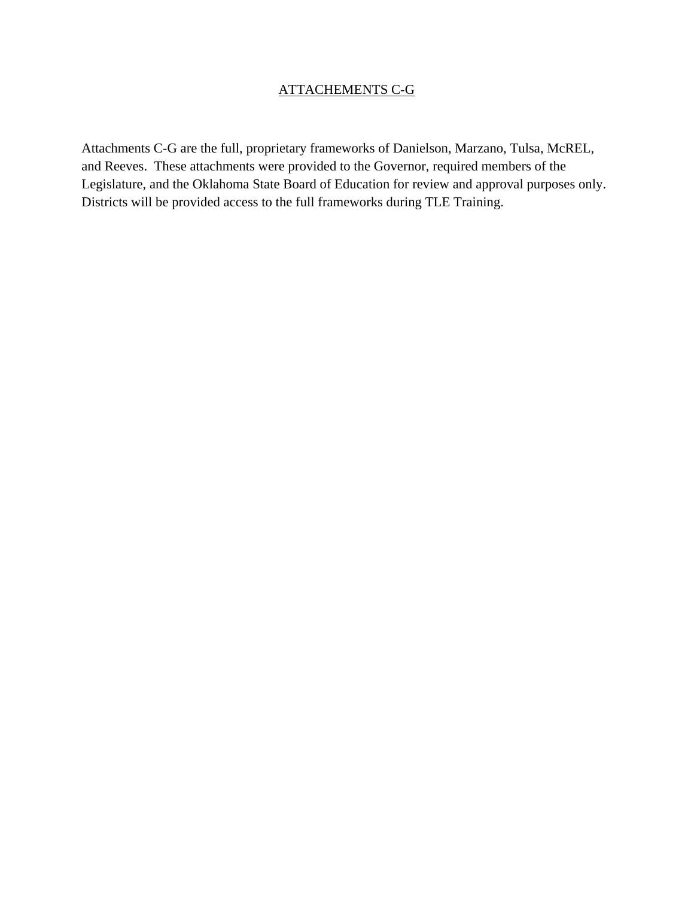### ATTACHEMENTS C-G

Attachments C-G are the full, proprietary frameworks of Danielson, Marzano, Tulsa, McREL, and Reeves. These attachments were provided to the Governor, required members of the Legislature, and the Oklahoma State Board of Education for review and approval purposes only. Districts will be provided access to the full frameworks during TLE Training.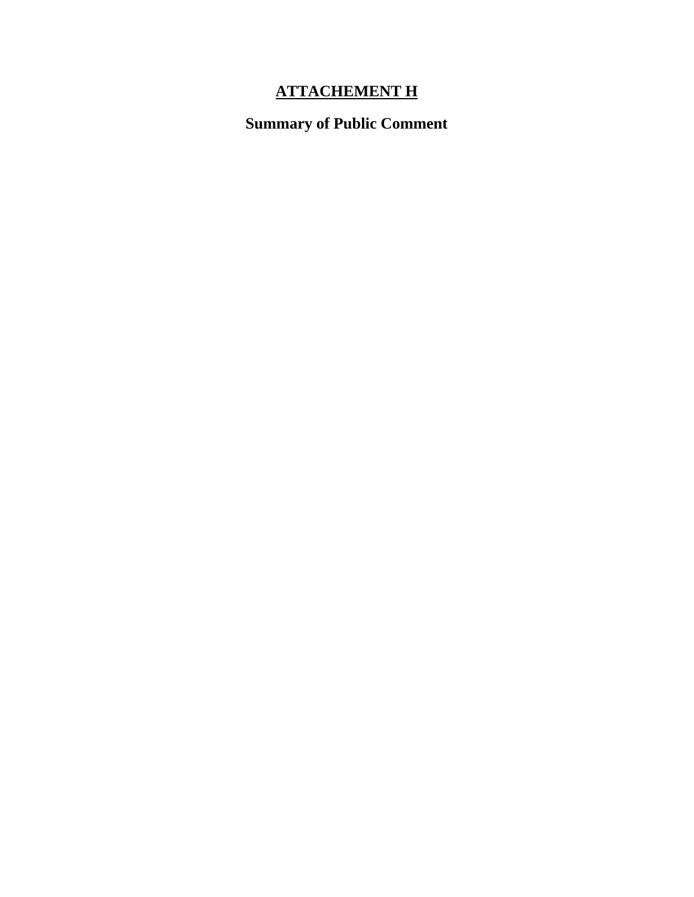### **ATTACHEMENT H**

### **Summary of Public Comment**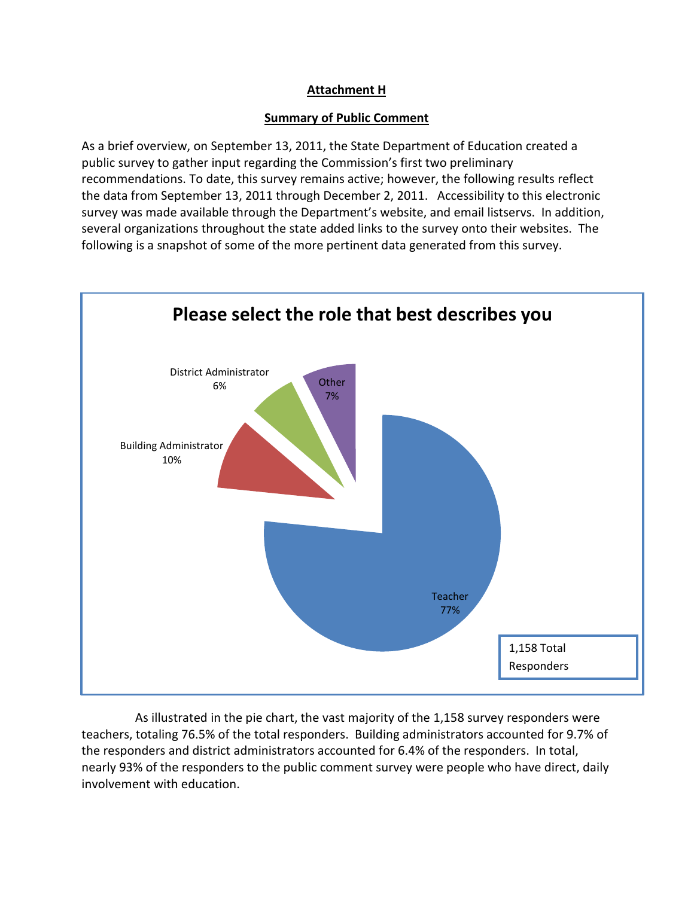### **Attachment H**

#### **Summary of Public Comment**

As a brief overview, on September 13, 2011, the State Department of Education created a public survey to gather input regarding the Commission's first two preliminary recommendations. To date, this survey remains active; however, the following results reflect the data from September 13, 2011 through December 2, 2011. Accessibility to this electronic survey was made available through the Department's website, and email listservs. In addition, several organizations throughout the state added links to the survey onto their websites. The following is a snapshot of some of the more pertinent data generated from this survey.



As illustrated in the pie chart, the vast majority of the 1,158 survey responders were teachers, totaling 76.5% of the total responders. Building administrators accounted for 9.7% of the responders and district administrators accounted for 6.4% of the responders. In total, nearly 93% of the responders to the public comment survey were people who have direct, daily involvement with education.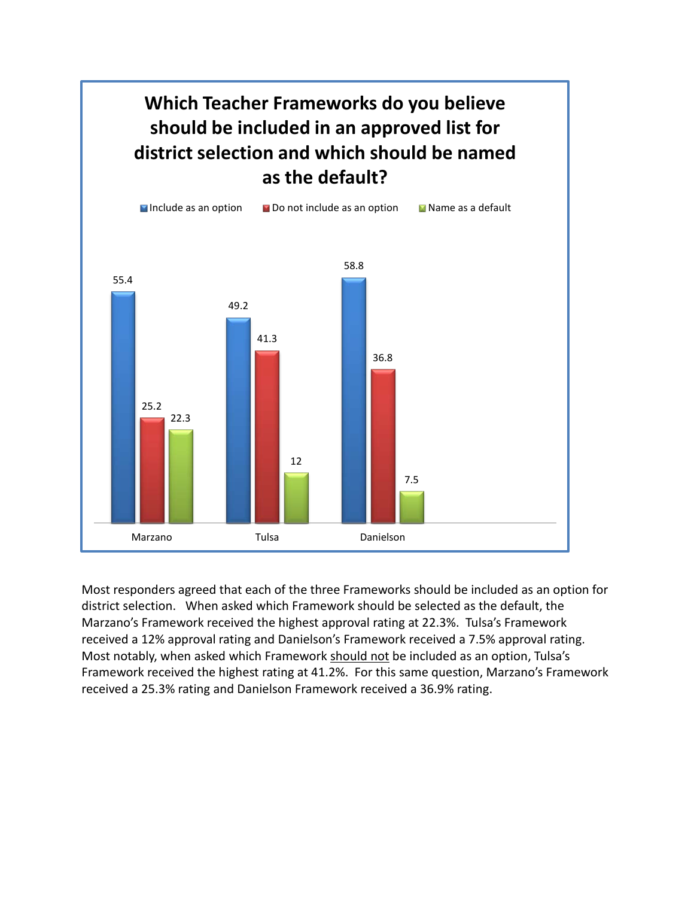

Most responders agreed that each of the three Frameworks should be included as an option for district selection. When asked which Framework should be selected as the default, the Marzano's Framework received the highest approval rating at 22.3%. Tulsa's Framework received a 12% approval rating and Danielson's Framework received a 7.5% approval rating. Most notably, when asked which Framework should not be included as an option, Tulsa's Framework received the highest rating at 41.2%. For this same question, Marzano's Framework received a 25.3% rating and Danielson Framework received a 36.9% rating.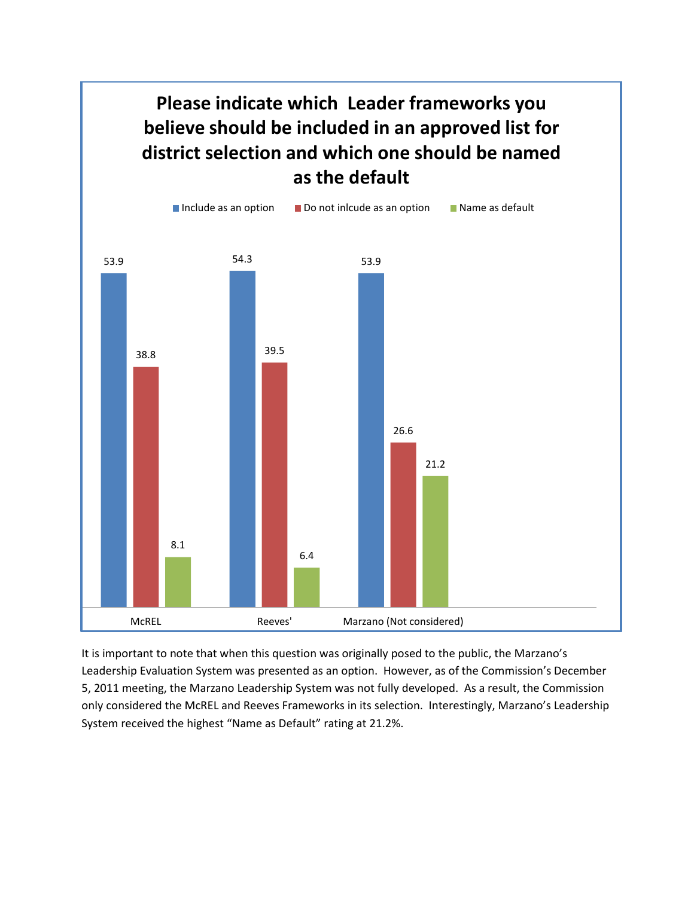

It is important to note that when this question was originally posed to the public, the Marzano's Leadership Evaluation System was presented as an option. However, as of the Commission's December 5, 2011 meeting, the Marzano Leadership System was not fully developed. As a result, the Commission only considered the McREL and Reeves Frameworks in its selection. Interestingly, Marzano's Leadership System received the highest "Name as Default" rating at 21.2%.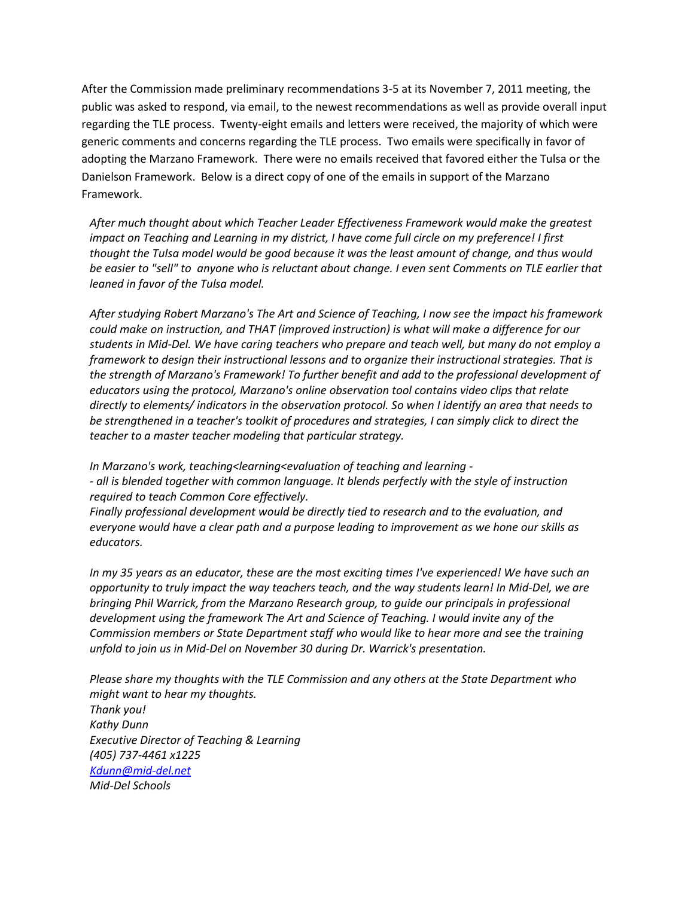After the Commission made preliminary recommendations 3-5 at its November 7, 2011 meeting, the public was asked to respond, via email, to the newest recommendations as well as provide overall input regarding the TLE process. Twenty-eight emails and letters were received, the majority of which were generic comments and concerns regarding the TLE process. Two emails were specifically in favor of adopting the Marzano Framework. There were no emails received that favored either the Tulsa or the Danielson Framework. Below is a direct copy of one of the emails in support of the Marzano Framework.

*After much thought about which Teacher Leader Effectiveness Framework would make the greatest impact on Teaching and Learning in my district, I have come full circle on my preference! I first thought the Tulsa model would be good because it was the least amount of change, and thus would be easier to "sell" to anyone who is reluctant about change. I even sent Comments on TLE earlier that leaned in favor of the Tulsa model.*

*After studying Robert Marzano's The Art and Science of Teaching, I now see the impact his framework could make on instruction, and THAT (improved instruction) is what will make a difference for our students in Mid-Del. We have caring teachers who prepare and teach well, but many do not employ a framework to design their instructional lessons and to organize their instructional strategies. That is the strength of Marzano's Framework! To further benefit and add to the professional development of educators using the protocol, Marzano's online observation tool contains video clips that relate directly to elements/ indicators in the observation protocol. So when I identify an area that needs to be strengthened in a teacher's toolkit of procedures and strategies, I can simply click to direct the teacher to a master teacher modeling that particular strategy.*

*In Marzano's work, teaching<learning<evaluation of teaching and learning -*

*- all is blended together with common language. It blends perfectly with the style of instruction required to teach Common Core effectively.*

*Finally professional development would be directly tied to research and to the evaluation, and everyone would have a clear path and a purpose leading to improvement as we hone our skills as educators.* 

*In my 35 years as an educator, these are the most exciting times I've experienced! We have such an opportunity to truly impact the way teachers teach, and the way students learn! In Mid-Del, we are bringing Phil Warrick, from the Marzano Research group, to guide our principals in professional development using the framework The Art and Science of Teaching. I would invite any of the Commission members or State Department staff who would like to hear more and see the training unfold to join us in Mid-Del on November 30 during Dr. Warrick's presentation.*

*Please share my thoughts with the TLE Commission and any others at the State Department who might want to hear my thoughts. Thank you! Kathy Dunn Executive Director of Teaching & Learning (405) 737-4461 x1225 [Kdunn@mid-del.net](mailto:Kdunn@mid-del.net) Mid-Del Schools*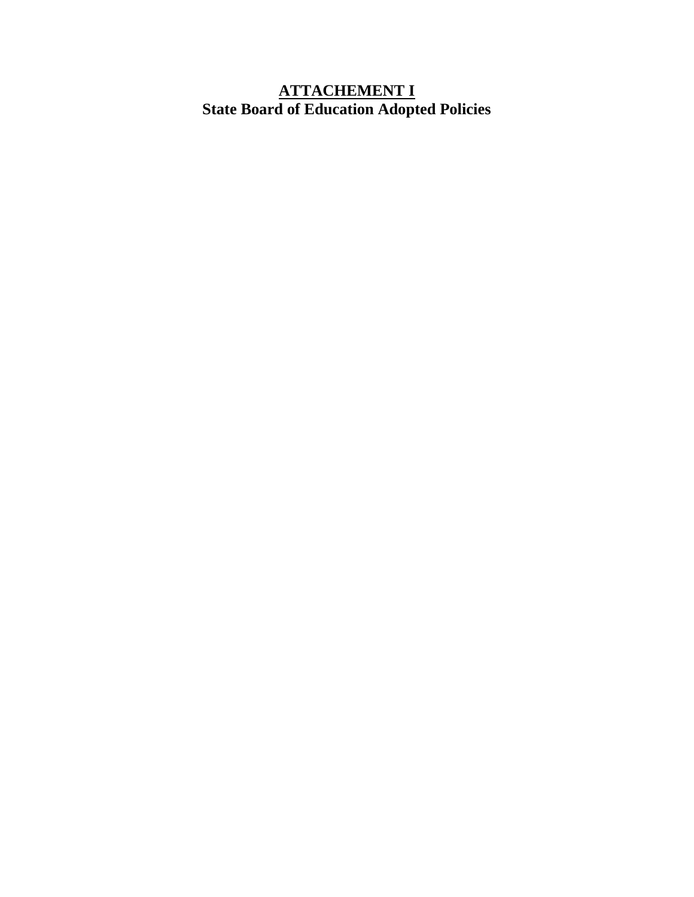### **ATTACHEMENT I State Board of Education Adopted Policies**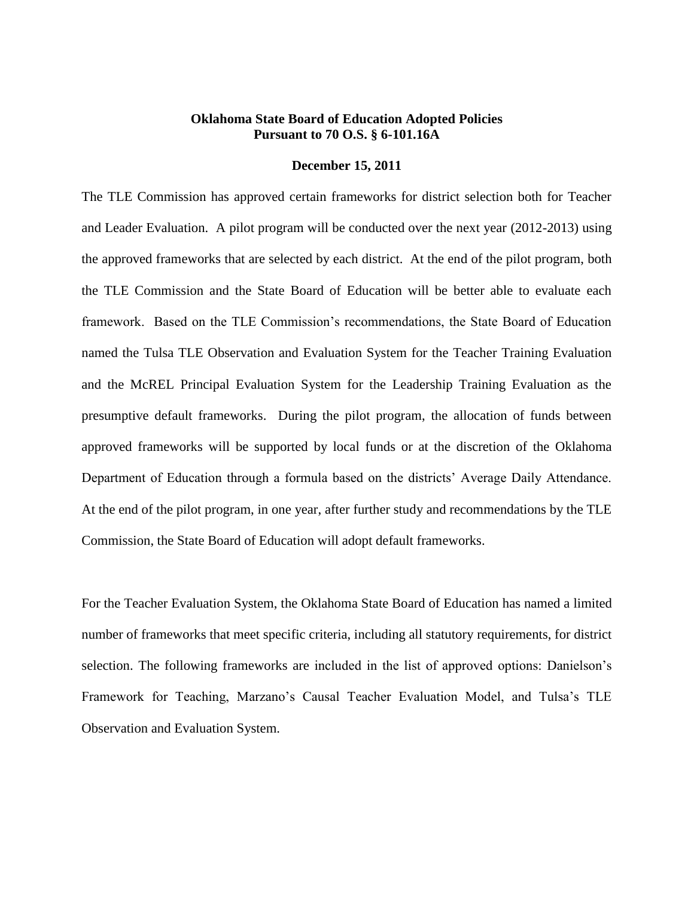#### **Oklahoma State Board of Education Adopted Policies Pursuant to 70 O.S. § 6-101.16A**

#### **December 15, 2011**

The TLE Commission has approved certain frameworks for district selection both for Teacher and Leader Evaluation. A pilot program will be conducted over the next year (2012-2013) using the approved frameworks that are selected by each district. At the end of the pilot program, both the TLE Commission and the State Board of Education will be better able to evaluate each framework. Based on the TLE Commission's recommendations, the State Board of Education named the Tulsa TLE Observation and Evaluation System for the Teacher Training Evaluation and the McREL Principal Evaluation System for the Leadership Training Evaluation as the presumptive default frameworks. During the pilot program, the allocation of funds between approved frameworks will be supported by local funds or at the discretion of the Oklahoma Department of Education through a formula based on the districts' Average Daily Attendance. At the end of the pilot program, in one year, after further study and recommendations by the TLE Commission, the State Board of Education will adopt default frameworks.

For the Teacher Evaluation System, the Oklahoma State Board of Education has named a limited number of frameworks that meet specific criteria, including all statutory requirements, for district selection. The following frameworks are included in the list of approved options: Danielson's Framework for Teaching, Marzano's Causal Teacher Evaluation Model, and Tulsa's TLE Observation and Evaluation System.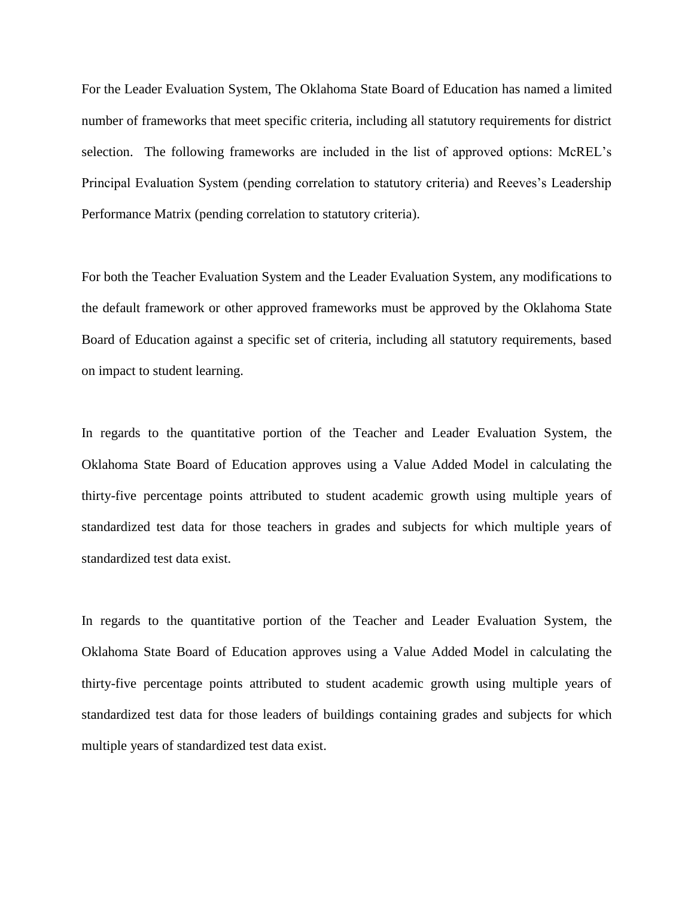For the Leader Evaluation System, The Oklahoma State Board of Education has named a limited number of frameworks that meet specific criteria, including all statutory requirements for district selection. The following frameworks are included in the list of approved options: McREL's Principal Evaluation System (pending correlation to statutory criteria) and Reeves's Leadership Performance Matrix (pending correlation to statutory criteria).

For both the Teacher Evaluation System and the Leader Evaluation System, any modifications to the default framework or other approved frameworks must be approved by the Oklahoma State Board of Education against a specific set of criteria, including all statutory requirements, based on impact to student learning.

In regards to the quantitative portion of the Teacher and Leader Evaluation System, the Oklahoma State Board of Education approves using a Value Added Model in calculating the thirty-five percentage points attributed to student academic growth using multiple years of standardized test data for those teachers in grades and subjects for which multiple years of standardized test data exist.

In regards to the quantitative portion of the Teacher and Leader Evaluation System, the Oklahoma State Board of Education approves using a Value Added Model in calculating the thirty-five percentage points attributed to student academic growth using multiple years of standardized test data for those leaders of buildings containing grades and subjects for which multiple years of standardized test data exist.